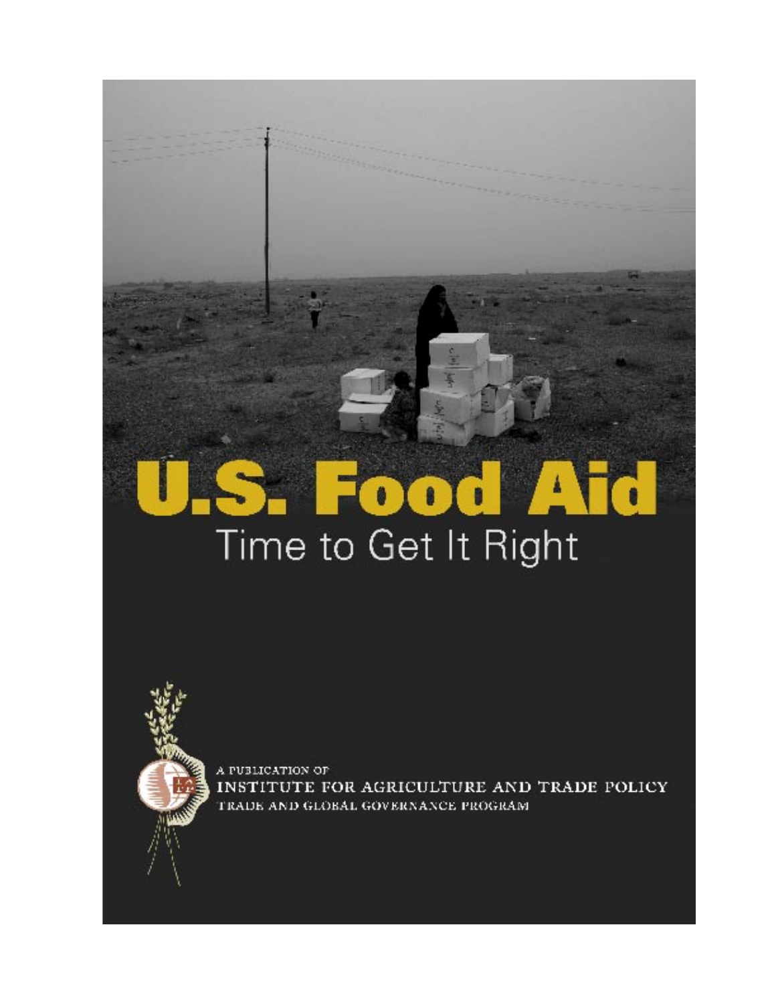# V. TO  $\bullet \bullet \bullet$ Time to Get It Right

A PUBLICATION OF INSTITUTE FOR AGRICULTURE AND TRADE POLICY TRADE AND GLOBAL GOVERNANCE PROGRAM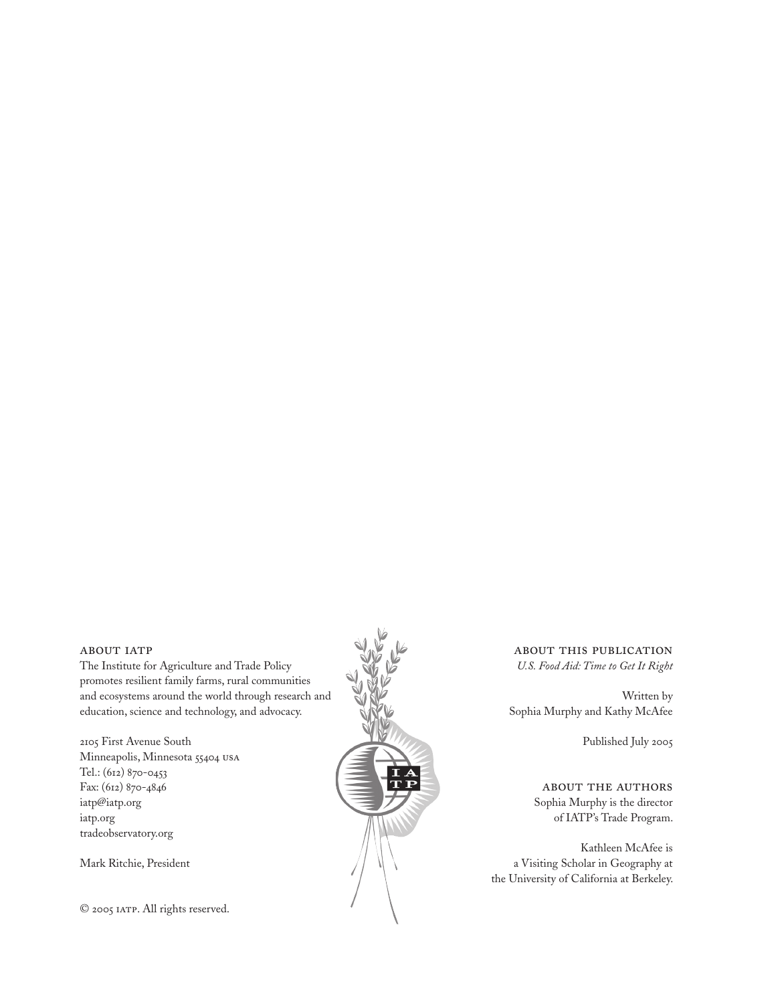#### ABOUT IATP

The Institute for Agriculture and Trade Policy promotes resilient family farms, rural communities and ecosystems around the world through research and education, science and technology, and advocacy.

2105 First Avenue South Minneapolis, Minnesota 55404 usa Tel.: (612) 870-0453 Fax: (612) 870-4846 iatp@iatp.org iatp.org tradeobservatory.org

Mark Ritchie, President

© 2005 IATP. All rights reserved.



about this publication *U.S. Food Aid: Time to Get It Right*

Written by Sophia Murphy and Kathy McAfee

Published July 2005

about the authors Sophia Murphy is the director of IATP's Trade Program.

Kathleen McAfee is a Visiting Scholar in Geography at the University of California at Berkeley.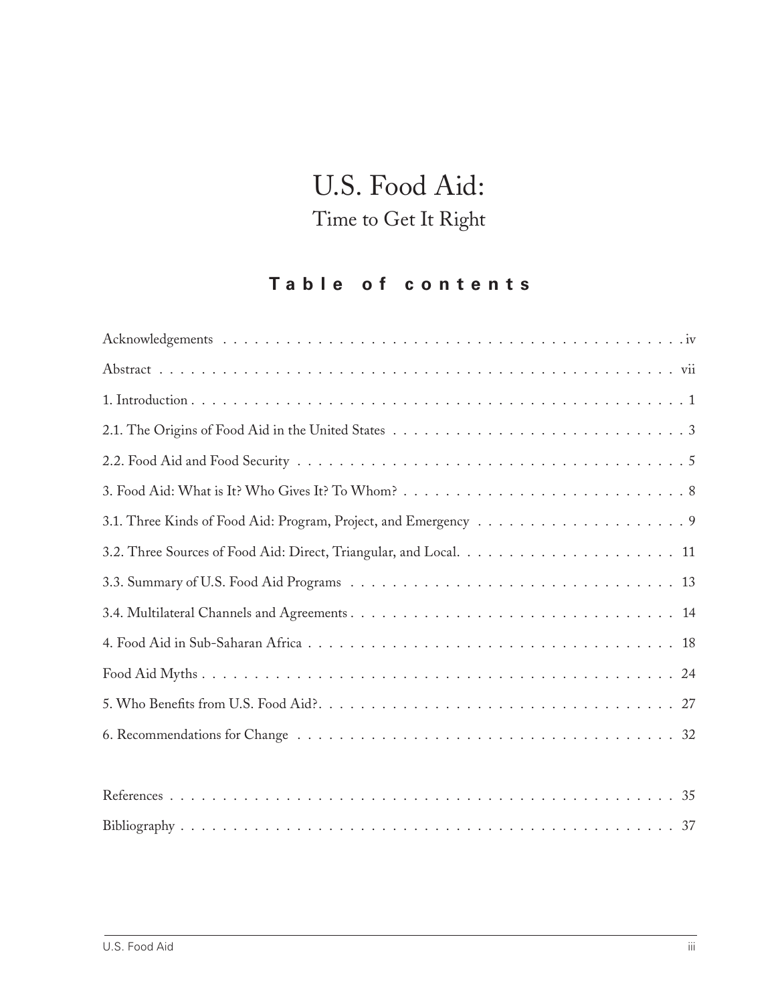# U.S. Food Aid: Time to Get It Right

## **T a b l e o f c o n t e n t s**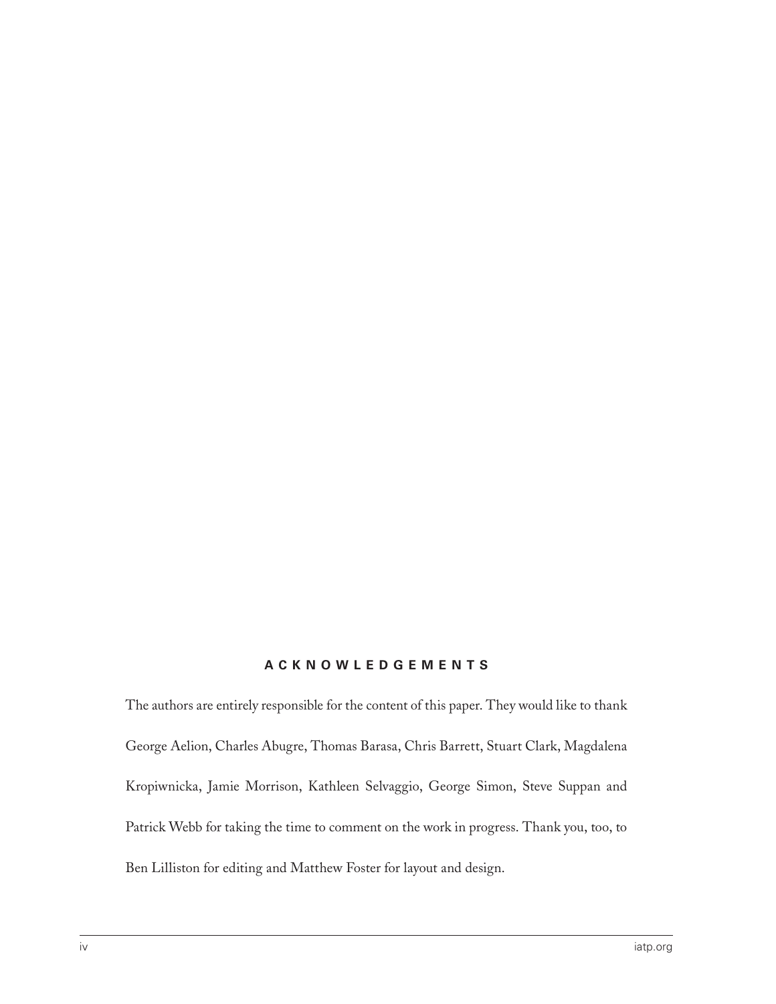#### **A C K N O W L E D G E M E N T S**

The authors are entirely responsible for the content of this paper. They would like to thank George Aelion, Charles Abugre, Thomas Barasa, Chris Barrett, Stuart Clark, Magdalena Kropiwnicka, Jamie Morrison, Kathleen Selvaggio, George Simon, Steve Suppan and Patrick Webb for taking the time to comment on the work in progress. Thank you, too, to Ben Lilliston for editing and Matthew Foster for layout and design.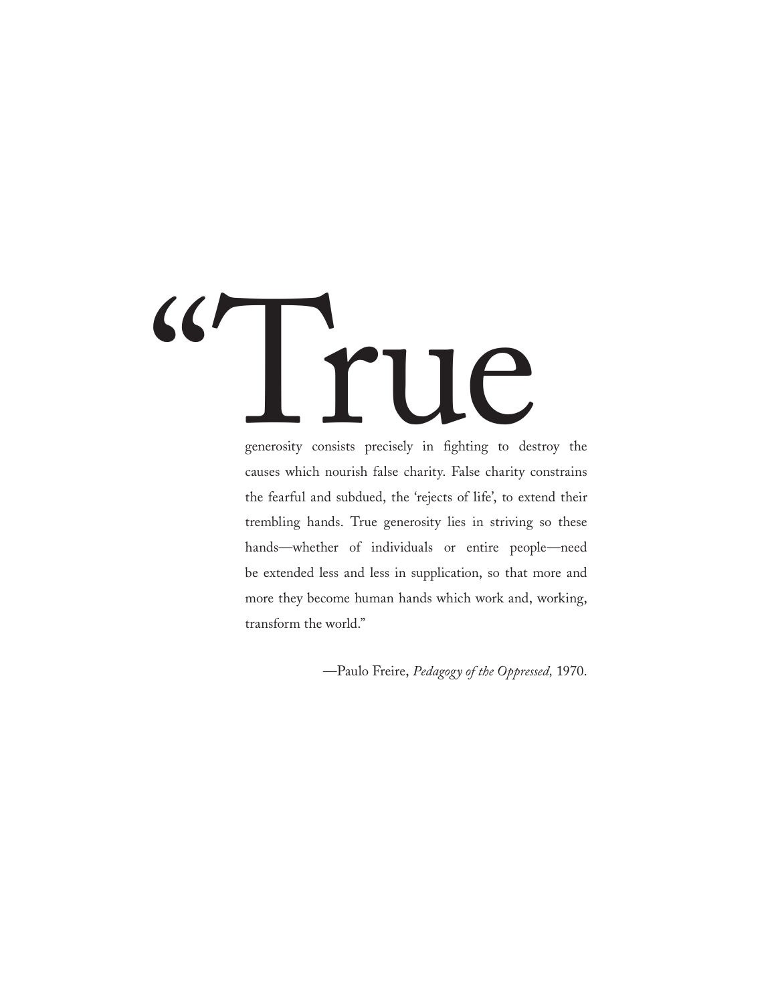# "True

generosity consists precisely in fighting to destroy the causes which nourish false charity. False charity constrains the fearful and subdued, the 'rejects of life', to extend their trembling hands. True generosity lies in striving so these hands—whether of individuals or entire people—need be extended less and less in supplication, so that more and more they become human hands which work and, working, transform the world."

—Paulo Freire, *Pedagogy of the Oppressed,* 1970.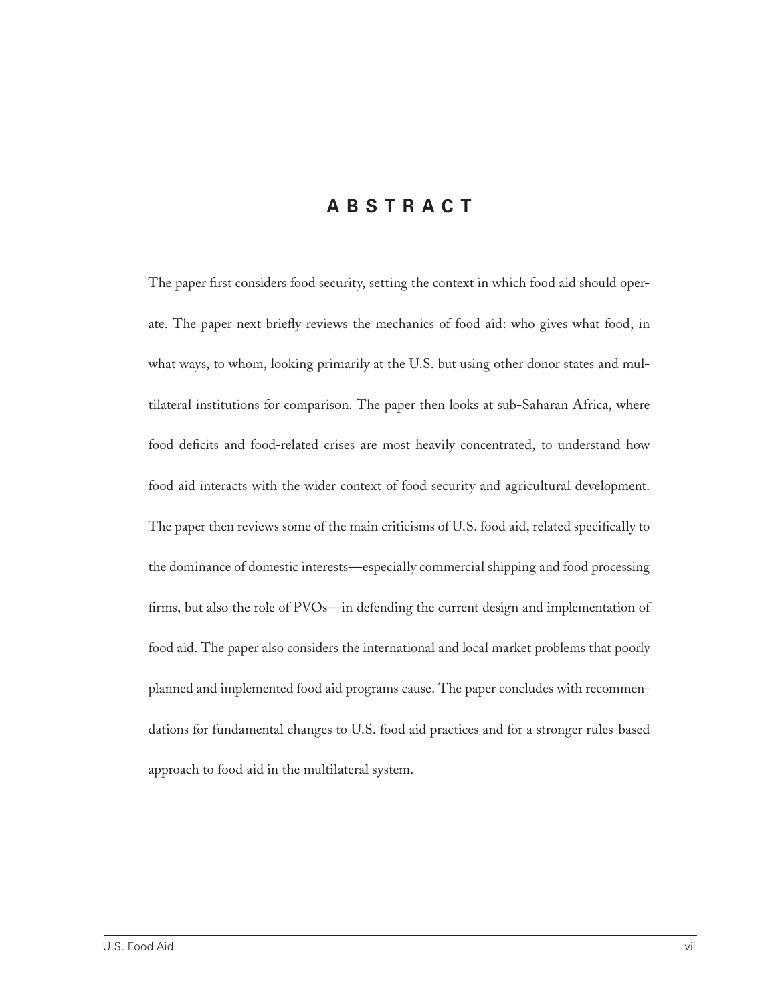#### **A B S T R A C T**

The paper first considers food security, setting the context in which food aid should operate. The paper next briefly reviews the mechanics of food aid: who gives what food, in what ways, to whom, looking primarily at the U.S. but using other donor states and multilateral institutions for comparison. The paper then looks at sub-Saharan Africa, where food deficits and food-related crises are most heavily concentrated, to understand how food aid interacts with the wider context of food security and agricultural development. The paper then reviews some of the main criticisms of U.S. food aid, related specifically to the dominance of domestic interests—especially commercial shipping and food processing firms, but also the role of PVOs—in defending the current design and implementation of food aid. The paper also considers the international and local market problems that poorly planned and implemented food aid programs cause. The paper concludes with recommendations for fundamental changes to U.S. food aid practices and for a stronger rules-based approach to food aid in the multilateral system.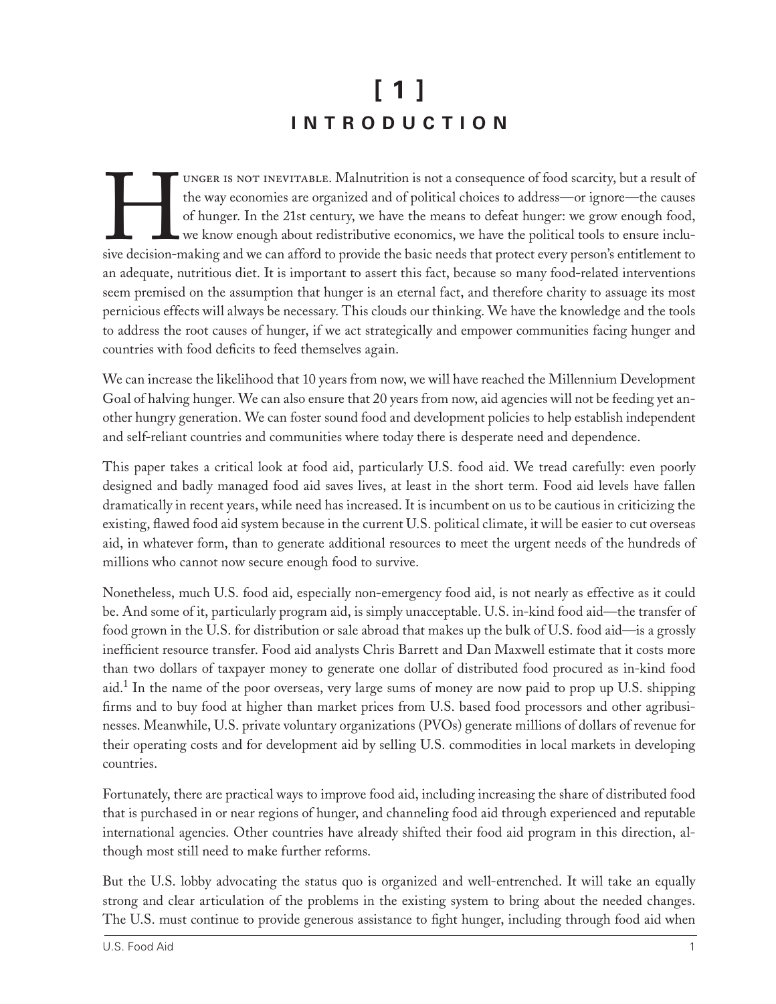# **[ 1 ] I N T R O D U C T I O N**

UNGER IS NOT INEVITABLE. Malnutrition is not a consequence of food scarcity, but a result of<br>the way economies are organized and of political choices to address—or ignore—the causes<br>of hunger. In the 21st century, we have the way economies are organized and of political choices to address—or ignore—the causes of hunger. In the 21st century, we have the means to defeat hunger: we grow enough food, we know enough about redistributive economics, we have the political tools to ensure inclusive decision-making and we can afford to provide the basic needs that protect every person's entitlement to an adequate, nutritious diet. It is important to assert this fact, because so many food-related interventions seem premised on the assumption that hunger is an eternal fact, and therefore charity to assuage its most pernicious effects will always be necessary. This clouds our thinking. We have the knowledge and the tools to address the root causes of hunger, if we act strategically and empower communities facing hunger and countries with food deficits to feed themselves again.

We can increase the likelihood that 10 years from now, we will have reached the Millennium Development Goal of halving hunger. We can also ensure that 20 years from now, aid agencies will not be feeding yet another hungry generation. We can foster sound food and development policies to help establish independent and self-reliant countries and communities where today there is desperate need and dependence.

This paper takes a critical look at food aid, particularly U.S. food aid. We tread carefully: even poorly designed and badly managed food aid saves lives, at least in the short term. Food aid levels have fallen dramatically in recent years, while need has increased. It is incumbent on us to be cautious in criticizing the existing, flawed food aid system because in the current U.S. political climate, it will be easier to cut overseas aid, in whatever form, than to generate additional resources to meet the urgent needs of the hundreds of millions who cannot now secure enough food to survive.

Nonetheless, much U.S. food aid, especially non-emergency food aid, is not nearly as effective as it could be. And some of it, particularly program aid, is simply unacceptable. U.S. in-kind food aid—the transfer of food grown in the U.S. for distribution or sale abroad that makes up the bulk of U.S. food aid—is a grossly inefficient resource transfer. Food aid analysts Chris Barrett and Dan Maxwell estimate that it costs more than two dollars of taxpayer money to generate one dollar of distributed food procured as in-kind food aid.<sup>1</sup> In the name of the poor overseas, very large sums of money are now paid to prop up U.S. shipping firms and to buy food at higher than market prices from U.S. based food processors and other agribusinesses. Meanwhile, U.S. private voluntary organizations (PVOs) generate millions of dollars of revenue for their operating costs and for development aid by selling U.S. commodities in local markets in developing countries.

Fortunately, there are practical ways to improve food aid, including increasing the share of distributed food that is purchased in or near regions of hunger, and channeling food aid through experienced and reputable international agencies. Other countries have already shifted their food aid program in this direction, although most still need to make further reforms.

But the U.S. lobby advocating the status quo is organized and well-entrenched. It will take an equally strong and clear articulation of the problems in the existing system to bring about the needed changes. The U.S. must continue to provide generous assistance to fight hunger, including through food aid when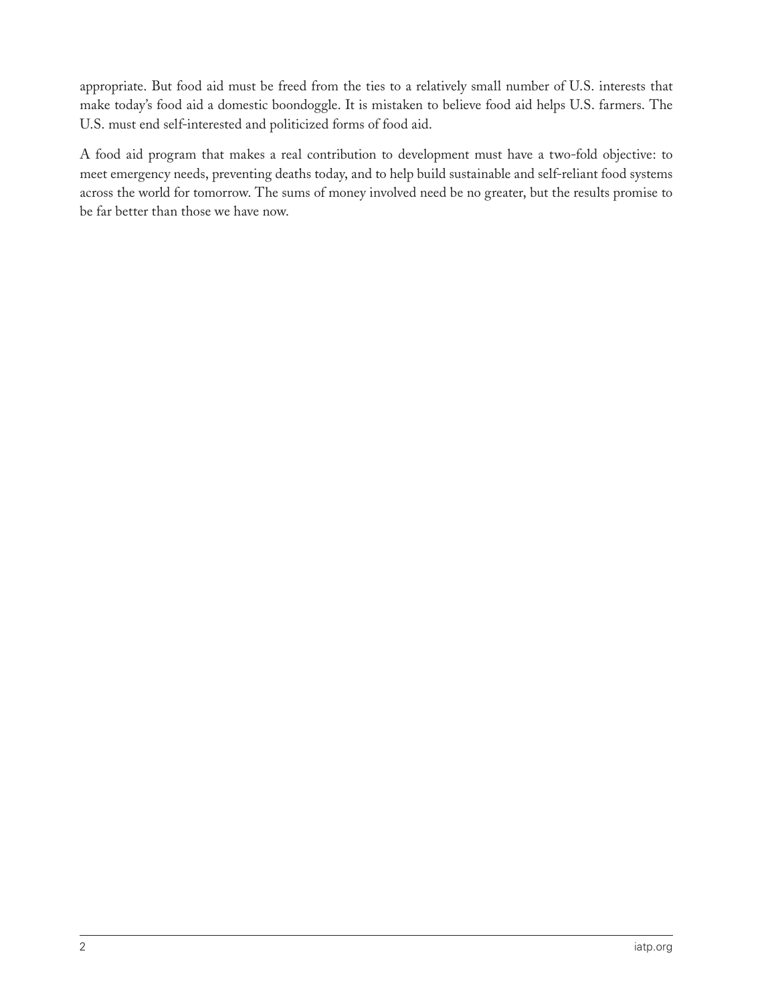appropriate. But food aid must be freed from the ties to a relatively small number of U.S. interests that make today's food aid a domestic boondoggle. It is mistaken to believe food aid helps U.S. farmers. The U.S. must end self-interested and politicized forms of food aid.

A food aid program that makes a real contribution to development must have a two-fold objective: to meet emergency needs, preventing deaths today, and to help build sustainable and self-reliant food systems across the world for tomorrow. The sums of money involved need be no greater, but the results promise to be far better than those we have now.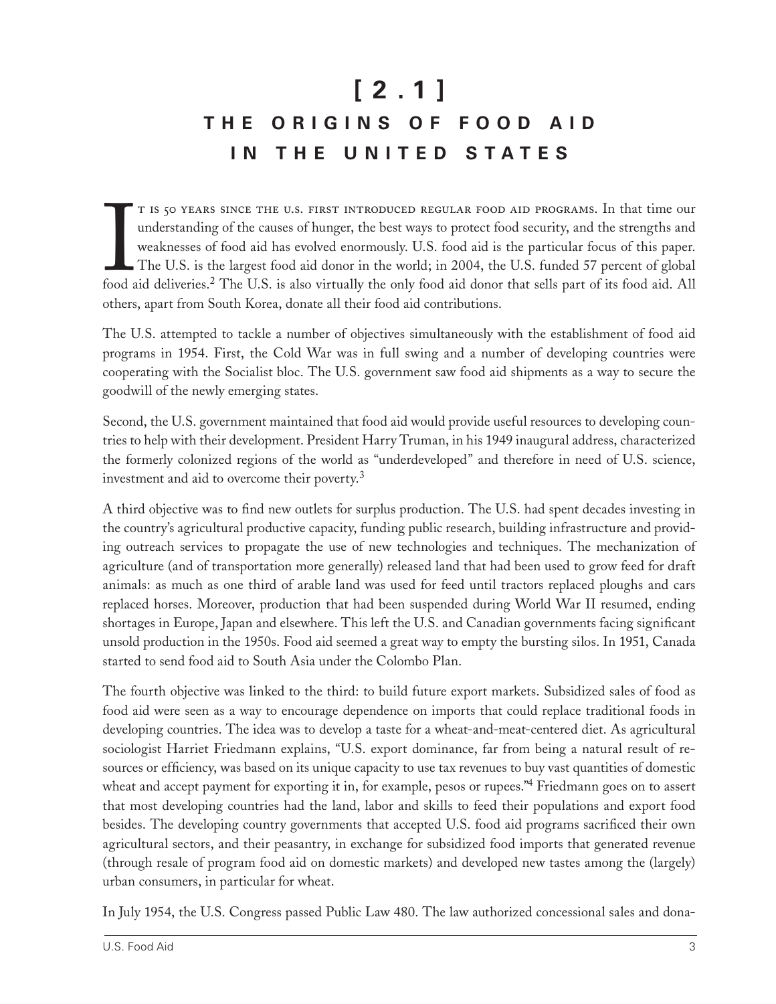# **[ 2 . 1 ] T H E O R I G I N S O F F O O D A I D I N T H E U N I T E D S T A T E S**

T IS 50 YEARS SINCE THE U.S. FIRST INTRODUCED REGULAR FOOD AID PROGRAMS. In that time our understanding of the causes of hunger, the best ways to protect food security, and the strengths and weaknesses of food aid has evol t is 50 years since the u.s. first introduced regular food aid programs. In that time our understanding of the causes of hunger, the best ways to protect food security, and the strengths and weaknesses of food aid has evolved enormously. U.S. food aid is the particular focus of this paper. The U.S. is the largest food aid donor in the world; in 2004, the U.S. funded 57 percent of global others, apart from South Korea, donate all their food aid contributions.

The U.S. attempted to tackle a number of objectives simultaneously with the establishment of food aid programs in 1954. First, the Cold War was in full swing and a number of developing countries were cooperating with the Socialist bloc. The U.S. government saw food aid shipments as a way to secure the goodwill of the newly emerging states.

Second, the U.S. government maintained that food aid would provide useful resources to developing countries to help with their development. President Harry Truman, in his 1949 inaugural address, characterized the formerly colonized regions of the world as "underdeveloped" and therefore in need of U.S. science, investment and aid to overcome their poverty.<sup>3</sup>

A third objective was to find new outlets for surplus production. The U.S. had spent decades investing in the country's agricultural productive capacity, funding public research, building infrastructure and providing outreach services to propagate the use of new technologies and techniques. The mechanization of agriculture (and of transportation more generally) released land that had been used to grow feed for draft animals: as much as one third of arable land was used for feed until tractors replaced ploughs and cars replaced horses. Moreover, production that had been suspended during World War II resumed, ending shortages in Europe, Japan and elsewhere. This left the U.S. and Canadian governments facing significant unsold production in the 1950s. Food aid seemed a great way to empty the bursting silos. In 1951, Canada started to send food aid to South Asia under the Colombo Plan.

The fourth objective was linked to the third: to build future export markets. Subsidized sales of food as food aid were seen as a way to encourage dependence on imports that could replace traditional foods in developing countries. The idea was to develop a taste for a wheat-and-meat-centered diet. As agricultural sociologist Harriet Friedmann explains, "U.S. export dominance, far from being a natural result of resources or efficiency, was based on its unique capacity to use tax revenues to buy vast quantities of domestic wheat and accept payment for exporting it in, for example, pesos or rupees.<sup>"4</sup> Friedmann goes on to assert that most developing countries had the land, labor and skills to feed their populations and export food besides. The developing country governments that accepted U.S. food aid programs sacrificed their own agricultural sectors, and their peasantry, in exchange for subsidized food imports that generated revenue (through resale of program food aid on domestic markets) and developed new tastes among the (largely) urban consumers, in particular for wheat.

In July 1954, the U.S. Congress passed Public Law 480. The law authorized concessional sales and dona-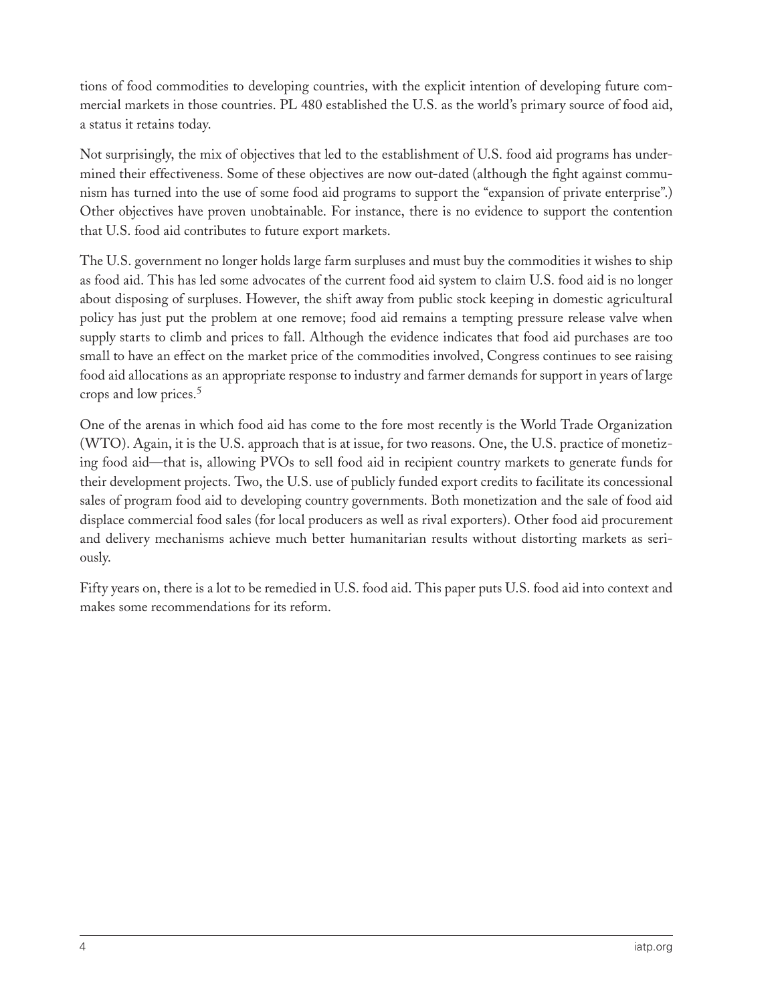tions of food commodities to developing countries, with the explicit intention of developing future commercial markets in those countries. PL 480 established the U.S. as the world's primary source of food aid, a status it retains today.

Not surprisingly, the mix of objectives that led to the establishment of U.S. food aid programs has undermined their effectiveness. Some of these objectives are now out-dated (although the fight against communism has turned into the use of some food aid programs to support the "expansion of private enterprise".) Other objectives have proven unobtainable. For instance, there is no evidence to support the contention that U.S. food aid contributes to future export markets.

The U.S. government no longer holds large farm surpluses and must buy the commodities it wishes to ship as food aid. This has led some advocates of the current food aid system to claim U.S. food aid is no longer about disposing of surpluses. However, the shift away from public stock keeping in domestic agricultural policy has just put the problem at one remove; food aid remains a tempting pressure release valve when supply starts to climb and prices to fall. Although the evidence indicates that food aid purchases are too small to have an effect on the market price of the commodities involved, Congress continues to see raising food aid allocations as an appropriate response to industry and farmer demands for support in years of large crops and low prices.<sup>5</sup>

One of the arenas in which food aid has come to the fore most recently is the World Trade Organization (WTO). Again, it is the U.S. approach that is at issue, for two reasons. One, the U.S. practice of monetizing food aid—that is, allowing PVOs to sell food aid in recipient country markets to generate funds for their development projects. Two, the U.S. use of publicly funded export credits to facilitate its concessional sales of program food aid to developing country governments. Both monetization and the sale of food aid displace commercial food sales (for local producers as well as rival exporters). Other food aid procurement and delivery mechanisms achieve much better humanitarian results without distorting markets as seriously.

Fifty years on, there is a lot to be remedied in U.S. food aid. This paper puts U.S. food aid into context and makes some recommendations for its reform.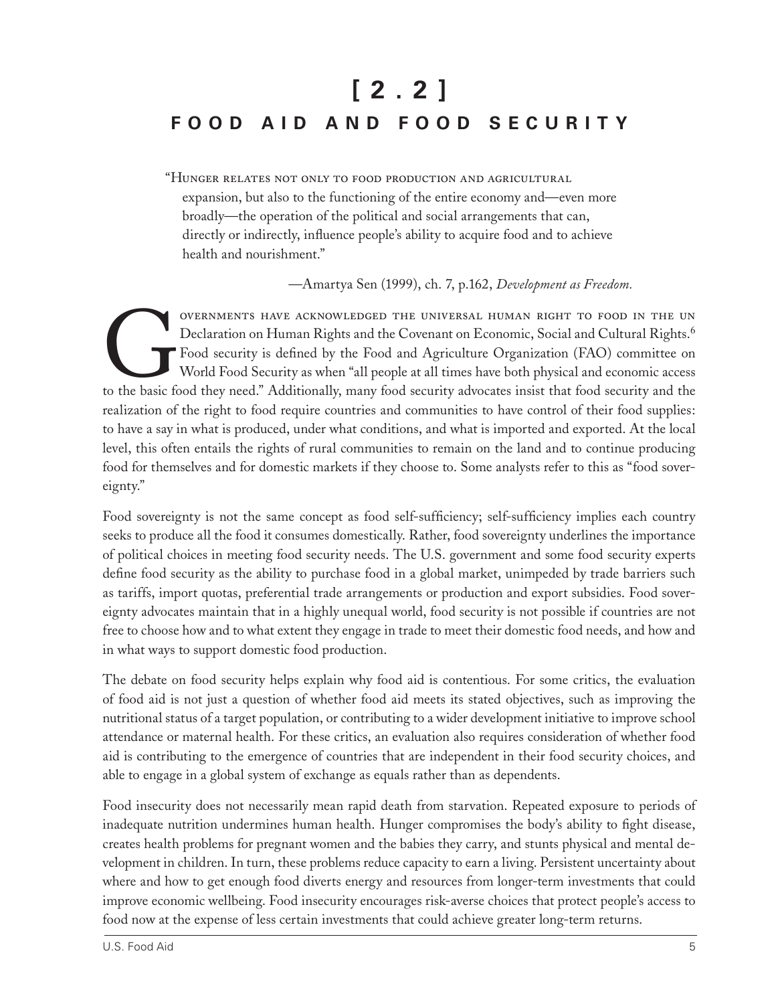# **[ 2 . 2 ] F O O D A I D A N D F O O D S E C U R I T Y**

"Hunger relates not only to food production and agricultural expansion, but also to the functioning of the entire economy and—even more broadly—the operation of the political and social arrangements that can, directly or indirectly, influence people's ability to acquire food and to achieve health and nourishment."

—Amartya Sen (1999), ch. 7, p.162, *Development as Freedom.*

OVERNMENTS HAVE ACKNOWLEDGED THE UNIVERSAL HUMAN RIGHT TO FOOD IN THE UN<br>Declaration on Human Rights and the Covenant on Economic, Social and Cultural Rights.<sup>6</sup><br>Food security is defined by the Food and Agriculture Organiz Declaration on Human Rights and the Covenant on Economic, Social and Cultural Rights.<sup>6</sup> Food security is defined by the Food and Agriculture Organization (FAO) committee on World Food Security as when "all people at all times have both physical and economic access to the basic food they need." Additionally, many food security advocates insist that food security and the realization of the right to food require countries and communities to have control of their food supplies: to have a say in what is produced, under what conditions, and what is imported and exported. At the local level, this often entails the rights of rural communities to remain on the land and to continue producing food for themselves and for domestic markets if they choose to. Some analysts refer to this as "food sovereignty."

Food sovereignty is not the same concept as food self-sufficiency; self-sufficiency implies each country seeks to produce all the food it consumes domestically. Rather, food sovereignty underlines the importance of political choices in meeting food security needs. The U.S. government and some food security experts define food security as the ability to purchase food in a global market, unimpeded by trade barriers such as tariffs, import quotas, preferential trade arrangements or production and export subsidies. Food sovereignty advocates maintain that in a highly unequal world, food security is not possible if countries are not free to choose how and to what extent they engage in trade to meet their domestic food needs, and how and in what ways to support domestic food production.

The debate on food security helps explain why food aid is contentious. For some critics, the evaluation of food aid is not just a question of whether food aid meets its stated objectives, such as improving the nutritional status of a target population, or contributing to a wider development initiative to improve school attendance or maternal health. For these critics, an evaluation also requires consideration of whether food aid is contributing to the emergence of countries that are independent in their food security choices, and able to engage in a global system of exchange as equals rather than as dependents.

Food insecurity does not necessarily mean rapid death from starvation. Repeated exposure to periods of inadequate nutrition undermines human health. Hunger compromises the body's ability to fight disease, creates health problems for pregnant women and the babies they carry, and stunts physical and mental development in children. In turn, these problems reduce capacity to earn a living. Persistent uncertainty about where and how to get enough food diverts energy and resources from longer-term investments that could improve economic wellbeing. Food insecurity encourages risk-averse choices that protect people's access to food now at the expense of less certain investments that could achieve greater long-term returns.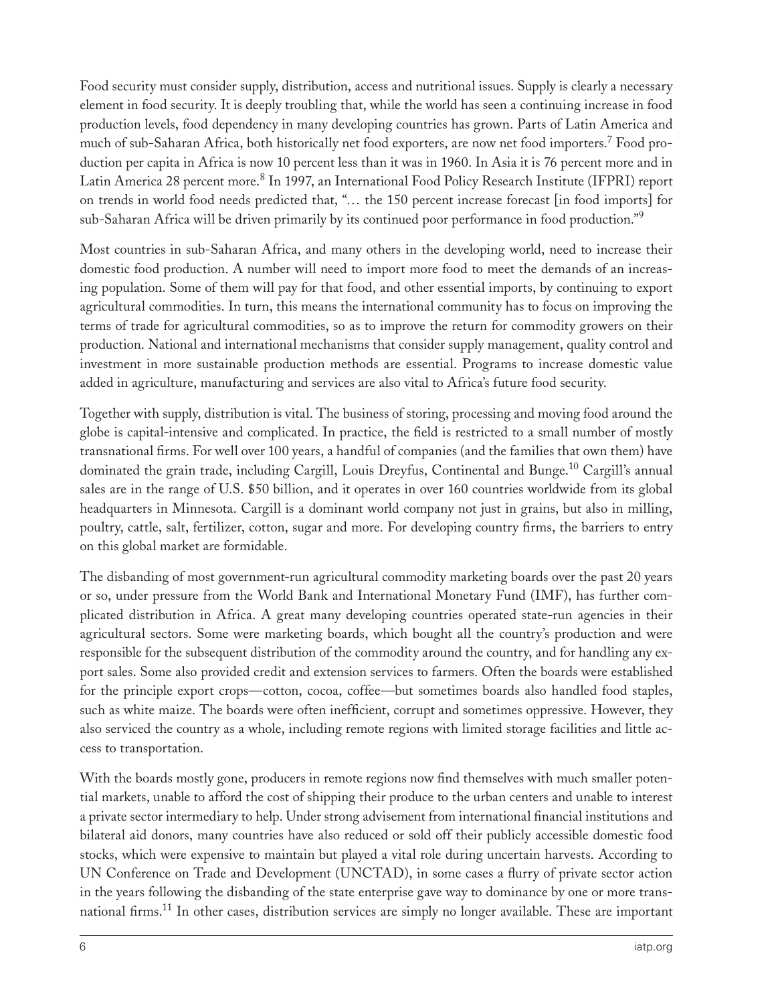Food security must consider supply, distribution, access and nutritional issues. Supply is clearly a necessary element in food security. It is deeply troubling that, while the world has seen a continuing increase in food production levels, food dependency in many developing countries has grown. Parts of Latin America and much of sub-Saharan Africa, both historically net food exporters, are now net food importers.<sup>7</sup> Food production per capita in Africa is now 10 percent less than it was in 1960. In Asia it is 76 percent more and in Latin America 28 percent more.<sup>8</sup> In 1997, an International Food Policy Research Institute (IFPRI) report on trends in world food needs predicted that, "… the 150 percent increase forecast [in food imports] for sub-Saharan Africa will be driven primarily by its continued poor performance in food production."<sup>9</sup>

Most countries in sub-Saharan Africa, and many others in the developing world, need to increase their domestic food production. A number will need to import more food to meet the demands of an increasing population. Some of them will pay for that food, and other essential imports, by continuing to export agricultural commodities. In turn, this means the international community has to focus on improving the terms of trade for agricultural commodities, so as to improve the return for commodity growers on their production. National and international mechanisms that consider supply management, quality control and investment in more sustainable production methods are essential. Programs to increase domestic value added in agriculture, manufacturing and services are also vital to Africa's future food security.

Together with supply, distribution is vital. The business of storing, processing and moving food around the globe is capital-intensive and complicated. In practice, the field is restricted to a small number of mostly transnational firms. For well over 100 years, a handful of companies (and the families that own them) have dominated the grain trade, including Cargill, Louis Dreyfus, Continental and Bunge.<sup>10</sup> Cargill's annual sales are in the range of U.S. \$50 billion, and it operates in over 160 countries worldwide from its global headquarters in Minnesota. Cargill is a dominant world company not just in grains, but also in milling, poultry, cattle, salt, fertilizer, cotton, sugar and more. For developing country firms, the barriers to entry on this global market are formidable.

The disbanding of most government-run agricultural commodity marketing boards over the past 20 years or so, under pressure from the World Bank and International Monetary Fund (IMF), has further complicated distribution in Africa. A great many developing countries operated state-run agencies in their agricultural sectors. Some were marketing boards, which bought all the country's production and were responsible for the subsequent distribution of the commodity around the country, and for handling any export sales. Some also provided credit and extension services to farmers. Often the boards were established for the principle export crops—cotton, cocoa, coffee—but sometimes boards also handled food staples, such as white maize. The boards were often inefficient, corrupt and sometimes oppressive. However, they also serviced the country as a whole, including remote regions with limited storage facilities and little access to transportation.

With the boards mostly gone, producers in remote regions now find themselves with much smaller potential markets, unable to afford the cost of shipping their produce to the urban centers and unable to interest a private sector intermediary to help. Under strong advisement from international financial institutions and bilateral aid donors, many countries have also reduced or sold off their publicly accessible domestic food stocks, which were expensive to maintain but played a vital role during uncertain harvests. According to UN Conference on Trade and Development (UNCTAD), in some cases a flurry of private sector action in the years following the disbanding of the state enterprise gave way to dominance by one or more transnational firms.<sup>11</sup> In other cases, distribution services are simply no longer available. These are important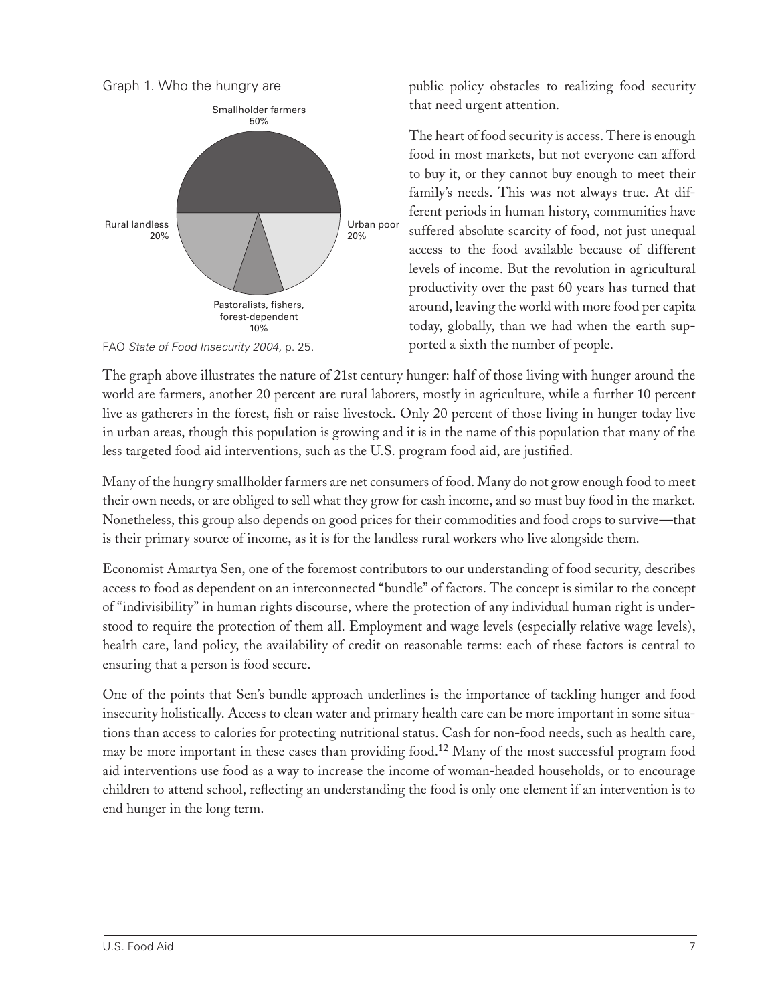

public policy obstacles to realizing food security that need urgent attention.

The heart of food security is access. There is enough food in most markets, but not everyone can afford to buy it, or they cannot buy enough to meet their family's needs. This was not always true. At different periods in human history, communities have suffered absolute scarcity of food, not just unequal access to the food available because of different levels of income. But the revolution in agricultural productivity over the past 60 years has turned that around, leaving the world with more food per capita today, globally, than we had when the earth supported a sixth the number of people.

The graph above illustrates the nature of 21st century hunger: half of those living with hunger around the world are farmers, another 20 percent are rural laborers, mostly in agriculture, while a further 10 percent live as gatherers in the forest, fish or raise livestock. Only 20 percent of those living in hunger today live in urban areas, though this population is growing and it is in the name of this population that many of the less targeted food aid interventions, such as the U.S. program food aid, are justified.

Many of the hungry smallholder farmers are net consumers of food. Many do not grow enough food to meet their own needs, or are obliged to sell what they grow for cash income, and so must buy food in the market. Nonetheless, this group also depends on good prices for their commodities and food crops to survive—that is their primary source of income, as it is for the landless rural workers who live alongside them.

Economist Amartya Sen, one of the foremost contributors to our understanding of food security, describes access to food as dependent on an interconnected "bundle" of factors. The concept is similar to the concept of "indivisibility" in human rights discourse, where the protection of any individual human right is understood to require the protection of them all. Employment and wage levels (especially relative wage levels), health care, land policy, the availability of credit on reasonable terms: each of these factors is central to ensuring that a person is food secure.

One of the points that Sen's bundle approach underlines is the importance of tackling hunger and food insecurity holistically. Access to clean water and primary health care can be more important in some situations than access to calories for protecting nutritional status. Cash for non-food needs, such as health care, may be more important in these cases than providing food.<sup>12</sup> Many of the most successful program food aid interventions use food as a way to increase the income of woman-headed households, or to encourage children to attend school, reflecting an understanding the food is only one element if an intervention is to end hunger in the long term.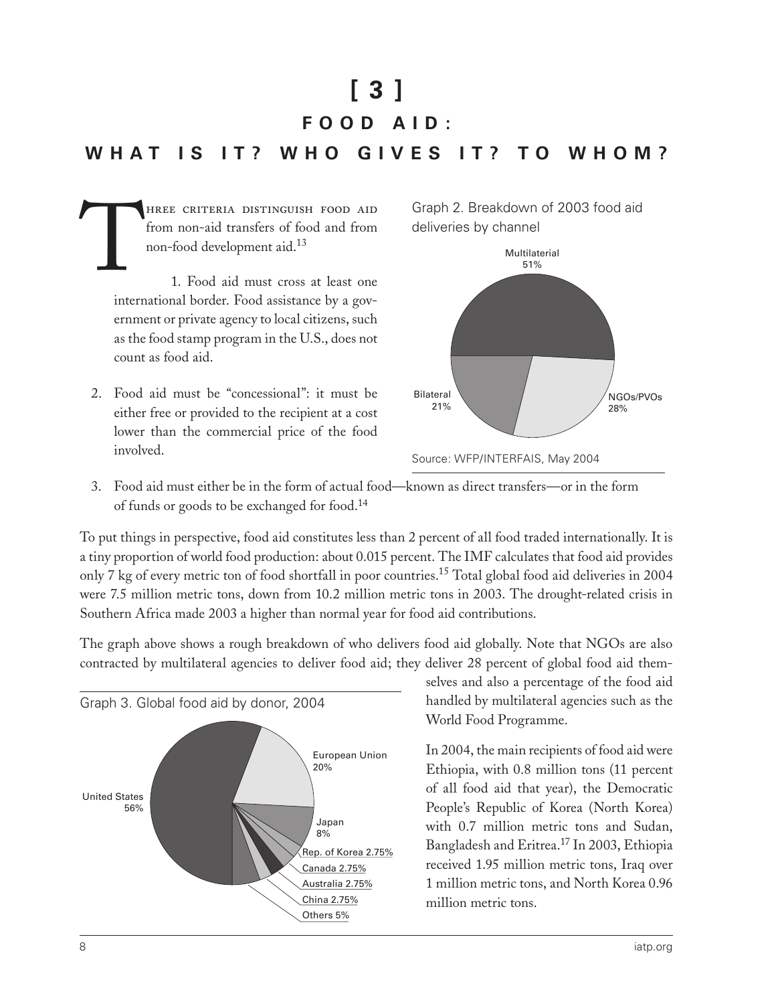# $\lceil 3 \rceil$

#### FOOD AID:

#### **WHAT**  $\overline{\phantom{a}}$  is  $IT$ ? WHO GIVES  $IT?$ TO WHOM?

HREE CRITERIA DISTINGUISH FOOD AID from non-aid transfers of food and from non-food development aid.<sup>13</sup>

1. Food aid must cross at least one international border. Food assistance by a government or private agency to local citizens, such as the food stamp program in the U.S., does not count as food aid.

2. Food aid must be "concessional": it must be either free or provided to the recipient at a cost lower than the commercial price of the food involved.





Source: WFP/INTERFAIS, May 2004

3. Food aid must either be in the form of actual food—known as direct transfers—or in the form of funds or goods to be exchanged for food.<sup>14</sup>

To put things in perspective, food aid constitutes less than 2 percent of all food traded internationally. It is a tiny proportion of world food production: about 0.015 percent. The IMF calculates that food aid provides only 7 kg of every metric ton of food shortfall in poor countries.<sup>15</sup> Total global food aid deliveries in 2004 were 7.5 million metric tons, down from 10.2 million metric tons in 2003. The drought-related crisis in Southern Africa made 2003 a higher than normal year for food aid contributions.

The graph above shows a rough breakdown of who delivers food aid globally. Note that NGOs are also contracted by multilateral agencies to deliver food aid; they deliver 28 percent of global food aid them-



selves and also a percentage of the food aid handled by multilateral agencies such as the World Food Programme.

In 2004, the main recipients of food aid were Ethiopia, with 0.8 million tons (11 percent of all food aid that year), the Democratic People's Republic of Korea (North Korea) with 0.7 million metric tons and Sudan, Bangladesh and Eritrea.<sup>17</sup> In 2003, Ethiopia received 1.95 million metric tons, Iraq over 1 million metric tons, and North Korea 0.96 million metric tons.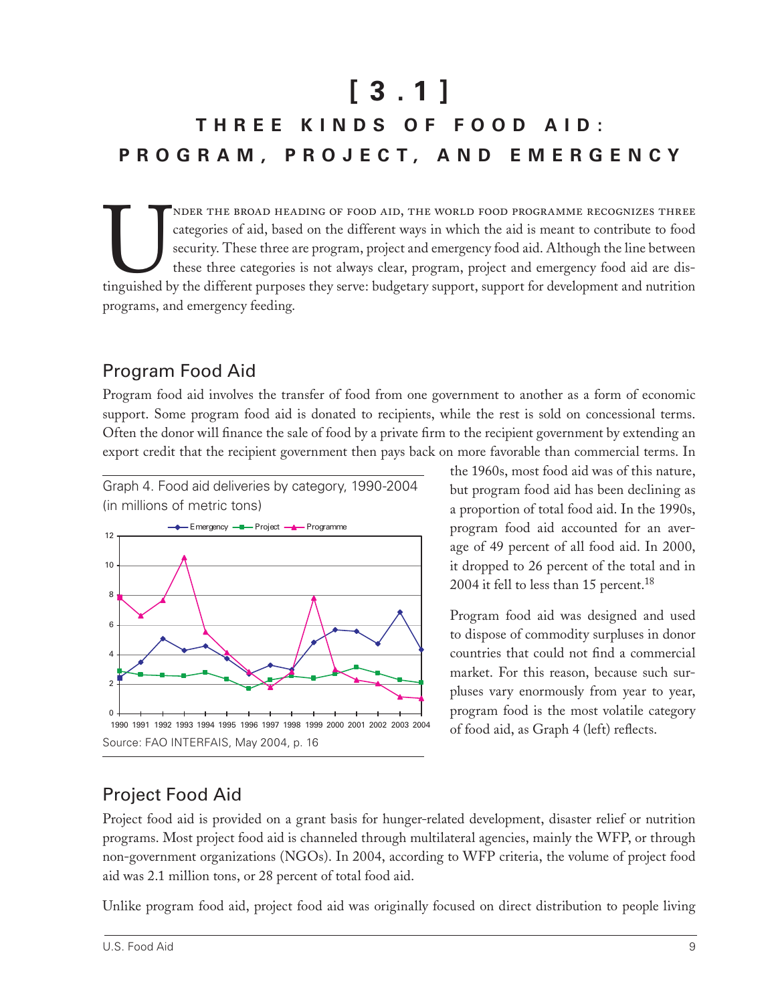# $[3.1]$ THREE KINDS OF FOOD AID: PROGRAM, PROJECT, AND EMERGENCY

NDER THE BROAD HEADING OF FOOD AID, THE WORLD FOOD PROGRAMME RECOGNIZES THREE categories of aid, based on the different ways in which the aid is meant to contribute to food security. These three are program, project and emergency food aid. Although the line between these three categories is not always clear, program, project and emergency food aid are distinguished by the different purposes they serve: budgetary support, support for development and nutrition programs, and emergency feeding.

## Program Food Aid

Program food aid involves the transfer of food from one government to another as a form of economic support. Some program food aid is donated to recipients, while the rest is sold on concessional terms. Often the donor will finance the sale of food by a private firm to the recipient government by extending an export credit that the recipient government then pays back on more favorable than commercial terms. In

Graph 4. Food aid deliveries by category, 1990-2004 (in millions of metric tons)



the 1960s, most food aid was of this nature, but program food aid has been declining as a proportion of total food aid. In the 1990s, program food aid accounted for an average of 49 percent of all food aid. In 2000, it dropped to 26 percent of the total and in 2004 it fell to less than 15 percent.<sup>18</sup>

Program food aid was designed and used to dispose of commodity surpluses in donor countries that could not find a commercial market. For this reason, because such surpluses vary enormously from year to year, program food is the most volatile category of food aid, as Graph 4 (left) reflects.

## **Project Food Aid**

Project food aid is provided on a grant basis for hunger-related development, disaster relief or nutrition programs. Most project food aid is channeled through multilateral agencies, mainly the WFP, or through non-government organizations (NGOs). In 2004, according to WFP criteria, the volume of project food aid was 2.1 million tons, or 28 percent of total food aid.

Unlike program food aid, project food aid was originally focused on direct distribution to people living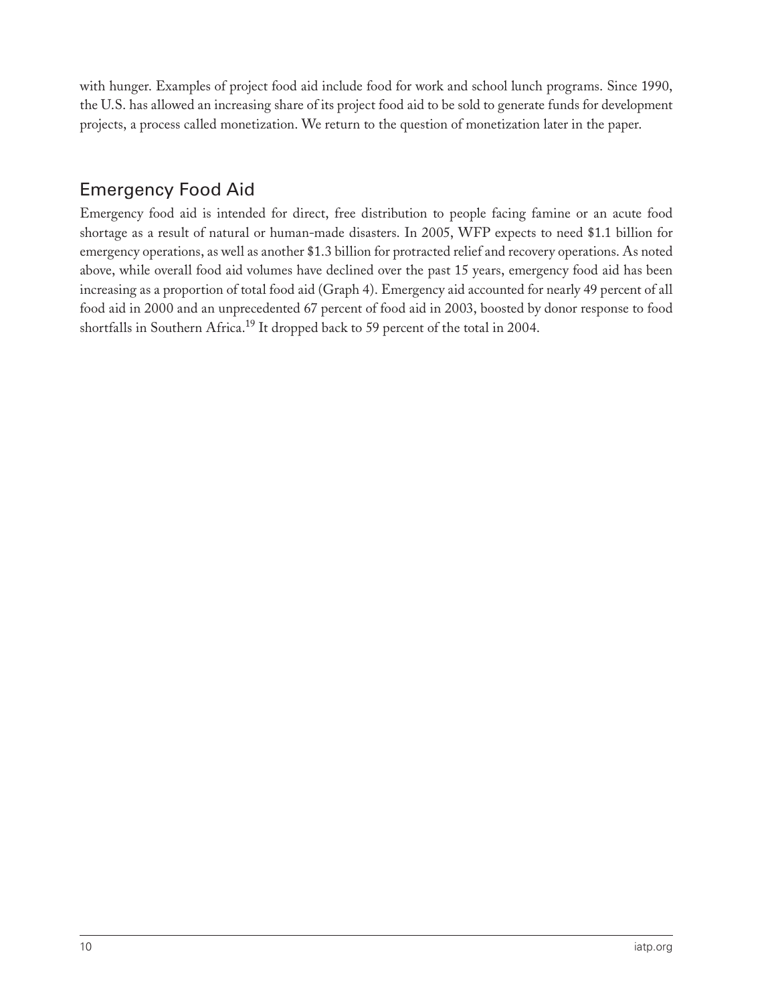with hunger. Examples of project food aid include food for work and school lunch programs. Since 1990, the U.S. has allowed an increasing share of its project food aid to be sold to generate funds for development projects, a process called monetization. We return to the question of monetization later in the paper.

#### Emergency Food Aid

Emergency food aid is intended for direct, free distribution to people facing famine or an acute food shortage as a result of natural or human-made disasters. In 2005, WFP expects to need \$1.1 billion for emergency operations, as well as another \$1.3 billion for protracted relief and recovery operations. As noted above, while overall food aid volumes have declined over the past 15 years, emergency food aid has been increasing as a proportion of total food aid (Graph 4). Emergency aid accounted for nearly 49 percent of all food aid in 2000 and an unprecedented 67 percent of food aid in 2003, boosted by donor response to food shortfalls in Southern Africa.<sup>19</sup> It dropped back to 59 percent of the total in 2004.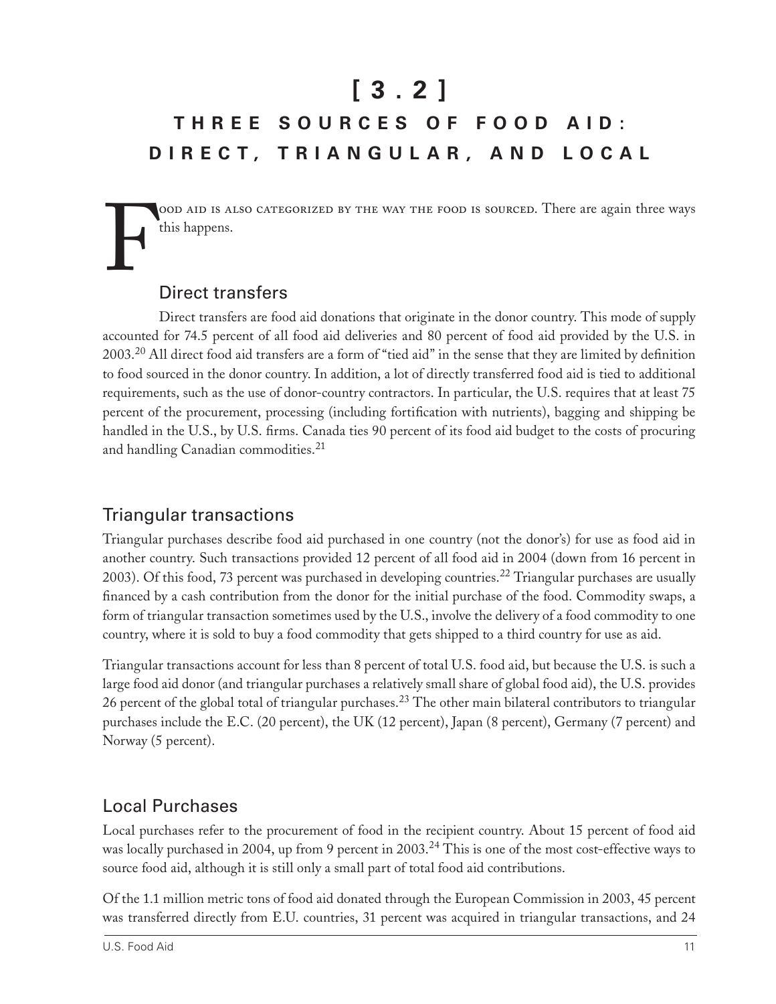# **[ 3 . 2 ]**

## **T H R E E S O U R C E S O F F O O D A I D : D I R E C T , T R I A N G U L A R , A N D L O C A L**

F ood aid is also categorized by the way the food is sourced. There are again three ways this happens.

## Direct transfers

Direct transfers are food aid donations that originate in the donor country. This mode of supply accounted for 74.5 percent of all food aid deliveries and 80 percent of food aid provided by the U.S. in 2003.20 All direct food aid transfers are a form of "tied aid" in the sense that they are limited by definition to food sourced in the donor country. In addition, a lot of directly transferred food aid is tied to additional requirements, such as the use of donor-country contractors. In particular, the U.S. requires that at least 75 percent of the procurement, processing (including fortification with nutrients), bagging and shipping be handled in the U.S., by U.S. firms. Canada ties 90 percent of its food aid budget to the costs of procuring and handling Canadian commodities.<sup>21</sup>

#### Triangular transactions

Triangular purchases describe food aid purchased in one country (not the donor's) for use as food aid in another country. Such transactions provided 12 percent of all food aid in 2004 (down from 16 percent in 2003). Of this food, 73 percent was purchased in developing countries.<sup>22</sup> Triangular purchases are usually financed by a cash contribution from the donor for the initial purchase of the food. Commodity swaps, a form of triangular transaction sometimes used by the U.S., involve the delivery of a food commodity to one country, where it is sold to buy a food commodity that gets shipped to a third country for use as aid.

Triangular transactions account for less than 8 percent of total U.S. food aid, but because the U.S. is such a large food aid donor (and triangular purchases a relatively small share of global food aid), the U.S. provides 26 percent of the global total of triangular purchases.<sup>23</sup> The other main bilateral contributors to triangular purchases include the E.C. (20 percent), the UK (12 percent), Japan (8 percent), Germany (7 percent) and Norway (5 percent).

#### Local Purchases

Local purchases refer to the procurement of food in the recipient country. About 15 percent of food aid was locally purchased in 2004, up from 9 percent in 2003.<sup>24</sup> This is one of the most cost-effective ways to source food aid, although it is still only a small part of total food aid contributions.

Of the 1.1 million metric tons of food aid donated through the European Commission in 2003, 45 percent was transferred directly from E.U. countries, 31 percent was acquired in triangular transactions, and 24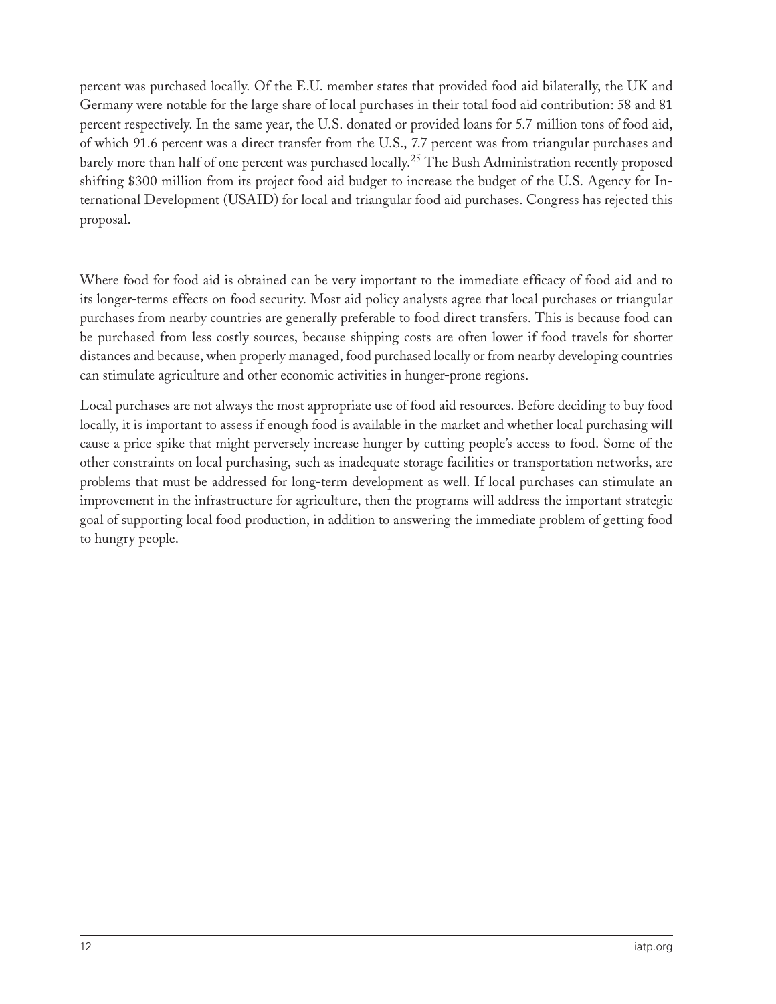percent was purchased locally. Of the E.U. member states that provided food aid bilaterally, the UK and Germany were notable for the large share of local purchases in their total food aid contribution: 58 and 81 percent respectively. In the same year, the U.S. donated or provided loans for 5.7 million tons of food aid, of which 91.6 percent was a direct transfer from the U.S., 7.7 percent was from triangular purchases and barely more than half of one percent was purchased locally.<sup>25</sup> The Bush Administration recently proposed shifting \$300 million from its project food aid budget to increase the budget of the U.S. Agency for International Development (USAID) for local and triangular food aid purchases. Congress has rejected this proposal.

Where food for food aid is obtained can be very important to the immediate efficacy of food aid and to its longer-terms effects on food security. Most aid policy analysts agree that local purchases or triangular purchases from nearby countries are generally preferable to food direct transfers. This is because food can be purchased from less costly sources, because shipping costs are often lower if food travels for shorter distances and because, when properly managed, food purchased locally or from nearby developing countries can stimulate agriculture and other economic activities in hunger-prone regions.

Local purchases are not always the most appropriate use of food aid resources. Before deciding to buy food locally, it is important to assess if enough food is available in the market and whether local purchasing will cause a price spike that might perversely increase hunger by cutting people's access to food. Some of the other constraints on local purchasing, such as inadequate storage facilities or transportation networks, are problems that must be addressed for long-term development as well. If local purchases can stimulate an improvement in the infrastructure for agriculture, then the programs will address the important strategic goal of supporting local food production, in addition to answering the immediate problem of getting food to hungry people.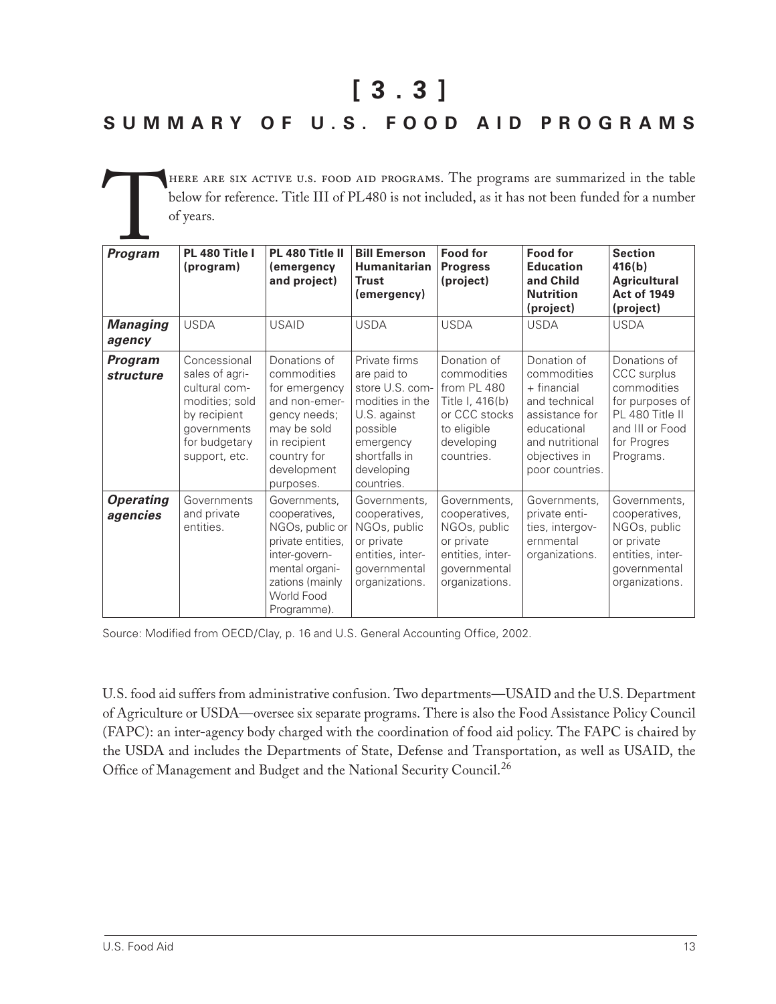**[ 3 . 3 ]**

## **S U M M A R Y O F U . S . F O O D A I D P R O G R A M S**

HERE ARE SIX ACTIVE U.S. FOOD AID PROGRAMS. The programs are summarized in the table<br>below for reference. Title III of PL480 is not included, as it has not been funded for a number<br>of years.<br>**Program** PL 480 Title I PL 480 below for reference. Title III of PL480 is not included, as it has not been funded for a number of years.

| <b>Program</b>                     | PL 480 Title I<br>(program)                                                                                                        | PL 480 Title II<br>(emergency<br>and project)                                                                                                            | <b>Bill Emerson</b><br>Humanitarian<br><b>Trust</b><br>(emergency)                                                                                       | <b>Food for</b><br><b>Progress</b><br>(project)                                                                          | <b>Food for</b><br><b>Education</b><br>and Child<br><b>Nutrition</b><br>(project)                                                                  | <b>Section</b><br>416(b)<br><b>Agricultural</b><br><b>Act of 1949</b><br>(project)                                              |
|------------------------------------|------------------------------------------------------------------------------------------------------------------------------------|----------------------------------------------------------------------------------------------------------------------------------------------------------|----------------------------------------------------------------------------------------------------------------------------------------------------------|--------------------------------------------------------------------------------------------------------------------------|----------------------------------------------------------------------------------------------------------------------------------------------------|---------------------------------------------------------------------------------------------------------------------------------|
| <b>Managing</b><br>agency          | <b>USDA</b>                                                                                                                        | <b>USAID</b>                                                                                                                                             | <b>USDA</b>                                                                                                                                              | <b>USDA</b>                                                                                                              | <b>USDA</b>                                                                                                                                        | <b>USDA</b>                                                                                                                     |
| <b>Program</b><br><b>structure</b> | Concessional<br>sales of agri-<br>cultural com-<br>modities; sold<br>by recipient<br>governments<br>for budgetary<br>support, etc. | Donations of<br>commodities<br>for emergency<br>and non-emer-<br>gency needs;<br>may be sold<br>in recipient<br>country for<br>development<br>purposes.  | Private firms<br>are paid to<br>store U.S. com-<br>modities in the<br>U.S. against<br>possible<br>emergency<br>shortfalls in<br>developing<br>countries. | Donation of<br>commodities<br>from PL 480<br>Title I, 416(b)<br>or CCC stocks<br>to eligible<br>developing<br>countries. | Donation of<br>commodities<br>+ financial<br>and technical<br>assistance for<br>educational<br>and nutritional<br>objectives in<br>poor countries. | Donations of<br>CCC surplus<br>commodities<br>for purposes of<br>PL 480 Title II<br>and III or Food<br>for Progres<br>Programs. |
| <b>Operating</b><br>agencies       | Governments<br>and private<br>entities.                                                                                            | Governments,<br>cooperatives,<br>NGOs, public or<br>private entities,<br>inter-govern-<br>mental organi-<br>zations (mainly<br>World Food<br>Programme). | Governments,<br>cooperatives,<br>NGOs, public<br>or private<br>entities, inter-<br>governmental<br>organizations.                                        | Governments,<br>cooperatives,<br>NGOs, public<br>or private<br>entities, inter-<br>governmental<br>organizations.        | Governments,<br>private enti-<br>ties, intergov-<br>ernmental<br>organizations.                                                                    | Governments,<br>cooperatives,<br>NGOs, public<br>or private<br>entities, inter-<br>governmental<br>organizations.               |

Source: Modified from OECD/Clay, p. 16 and U.S. General Accounting Office, 2002.

U.S. food aid suffers from administrative confusion. Two departments—USAID and the U.S. Department of Agriculture or USDA—oversee six separate programs. There is also the Food Assistance Policy Council (FAPC): an inter-agency body charged with the coordination of food aid policy. The FAPC is chaired by the USDA and includes the Departments of State, Defense and Transportation, as well as USAID, the Office of Management and Budget and the National Security Council.<sup>26</sup>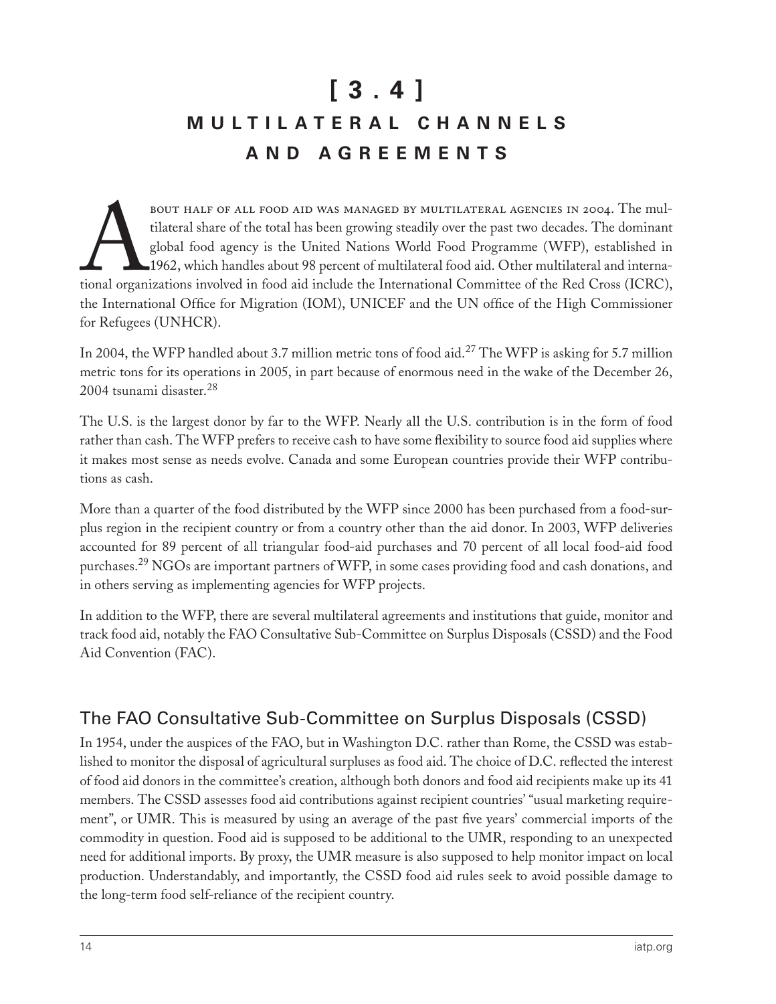# **[ 3 . 4 ] M U L T I L A T E R A L C H A N N E L S A N D A G R E E M E N T S**

BOUT HALF OF ALL FOOD AID WAS MANAGED BY MULTILATERAL AGENCIES IN 2004. The multilateral share of the total has been growing steadily over the past two decades. The dominant global food agency is the United Nations World F tilateral share of the total has been growing steadily over the past two decades. The dominant global food agency is the United Nations World Food Programme (WFP), established in 1962, which handles about 98 percent of multilateral food aid. Other multilateral and international organizations involved in food aid include the International Committee of the Red Cross (ICRC), the International Office for Migration (IOM), UNICEF and the UN office of the High Commissioner for Refugees (UNHCR).

In 2004, the WFP handled about 3.7 million metric tons of food aid.<sup>27</sup> The WFP is asking for 5.7 million metric tons for its operations in 2005, in part because of enormous need in the wake of the December 26, 2004 tsunami disaster.<sup>28</sup>

The U.S. is the largest donor by far to the WFP. Nearly all the U.S. contribution is in the form of food rather than cash. The WFP prefers to receive cash to have some flexibility to source food aid supplies where it makes most sense as needs evolve. Canada and some European countries provide their WFP contributions as cash.

More than a quarter of the food distributed by the WFP since 2000 has been purchased from a food-surplus region in the recipient country or from a country other than the aid donor. In 2003, WFP deliveries accounted for 89 percent of all triangular food-aid purchases and 70 percent of all local food-aid food purchases.<sup>29</sup> NGOs are important partners of WFP, in some cases providing food and cash donations, and in others serving as implementing agencies for WFP projects.

In addition to the WFP, there are several multilateral agreements and institutions that guide, monitor and track food aid, notably the FAO Consultative Sub-Committee on Surplus Disposals (CSSD) and the Food Aid Convention (FAC).

#### The FAO Consultative Sub-Committee on Surplus Disposals (CSSD)

In 1954, under the auspices of the FAO, but in Washington D.C. rather than Rome, the CSSD was established to monitor the disposal of agricultural surpluses as food aid. The choice of D.C. reflected the interest of food aid donors in the committee's creation, although both donors and food aid recipients make up its 41 members. The CSSD assesses food aid contributions against recipient countries' "usual marketing requirement", or UMR. This is measured by using an average of the past five years' commercial imports of the commodity in question. Food aid is supposed to be additional to the UMR, responding to an unexpected need for additional imports. By proxy, the UMR measure is also supposed to help monitor impact on local production. Understandably, and importantly, the CSSD food aid rules seek to avoid possible damage to the long-term food self-reliance of the recipient country.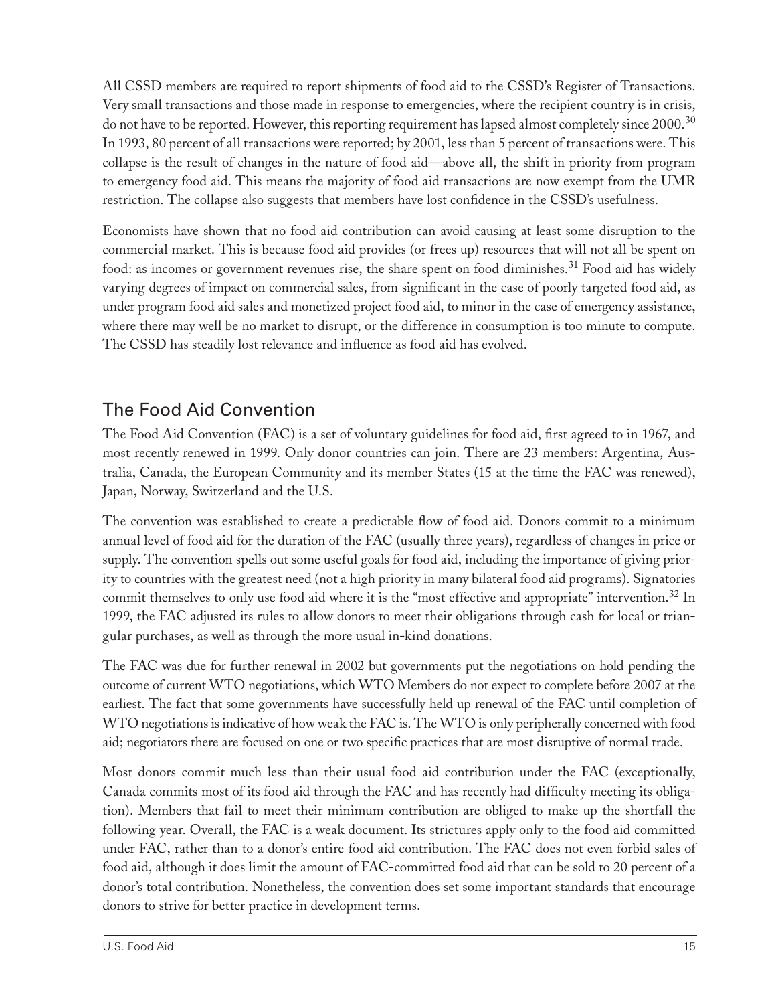All CSSD members are required to report shipments of food aid to the CSSD's Register of Transactions. Very small transactions and those made in response to emergencies, where the recipient country is in crisis, do not have to be reported. However, this reporting requirement has lapsed almost completely since 2000.<sup>30</sup> In 1993, 80 percent of all transactions were reported; by 2001, less than 5 percent of transactions were. This collapse is the result of changes in the nature of food aid—above all, the shift in priority from program to emergency food aid. This means the majority of food aid transactions are now exempt from the UMR restriction. The collapse also suggests that members have lost confidence in the CSSD's usefulness.

Economists have shown that no food aid contribution can avoid causing at least some disruption to the commercial market. This is because food aid provides (or frees up) resources that will not all be spent on food: as incomes or government revenues rise, the share spent on food diminishes.<sup>31</sup> Food aid has widely varying degrees of impact on commercial sales, from significant in the case of poorly targeted food aid, as under program food aid sales and monetized project food aid, to minor in the case of emergency assistance, where there may well be no market to disrupt, or the difference in consumption is too minute to compute. The CSSD has steadily lost relevance and influence as food aid has evolved.

## The Food Aid Convention

The Food Aid Convention (FAC) is a set of voluntary guidelines for food aid, first agreed to in 1967, and most recently renewed in 1999. Only donor countries can join. There are 23 members: Argentina, Australia, Canada, the European Community and its member States (15 at the time the FAC was renewed), Japan, Norway, Switzerland and the U.S.

The convention was established to create a predictable flow of food aid. Donors commit to a minimum annual level of food aid for the duration of the FAC (usually three years), regardless of changes in price or supply. The convention spells out some useful goals for food aid, including the importance of giving priority to countries with the greatest need (not a high priority in many bilateral food aid programs). Signatories commit themselves to only use food aid where it is the "most effective and appropriate" intervention.<sup>32</sup> In 1999, the FAC adjusted its rules to allow donors to meet their obligations through cash for local or triangular purchases, as well as through the more usual in-kind donations.

The FAC was due for further renewal in 2002 but governments put the negotiations on hold pending the outcome of current WTO negotiations, which WTO Members do not expect to complete before 2007 at the earliest. The fact that some governments have successfully held up renewal of the FAC until completion of WTO negotiations is indicative of how weak the FAC is. The WTO is only peripherally concerned with food aid; negotiators there are focused on one or two specific practices that are most disruptive of normal trade.

Most donors commit much less than their usual food aid contribution under the FAC (exceptionally, Canada commits most of its food aid through the FAC and has recently had difficulty meeting its obligation). Members that fail to meet their minimum contribution are obliged to make up the shortfall the following year. Overall, the FAC is a weak document. Its strictures apply only to the food aid committed under FAC, rather than to a donor's entire food aid contribution. The FAC does not even forbid sales of food aid, although it does limit the amount of FAC-committed food aid that can be sold to 20 percent of a donor's total contribution. Nonetheless, the convention does set some important standards that encourage donors to strive for better practice in development terms.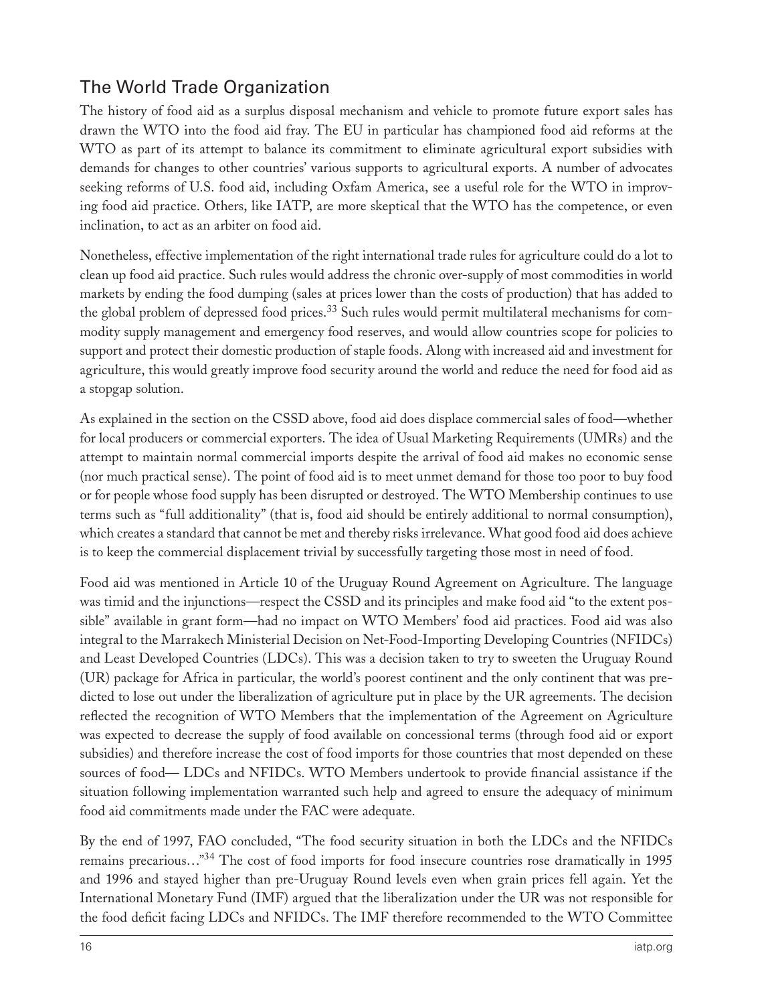## The World Trade Organization

The history of food aid as a surplus disposal mechanism and vehicle to promote future export sales has drawn the WTO into the food aid fray. The EU in particular has championed food aid reforms at the WTO as part of its attempt to balance its commitment to eliminate agricultural export subsidies with demands for changes to other countries' various supports to agricultural exports. A number of advocates seeking reforms of U.S. food aid, including Oxfam America, see a useful role for the WTO in improving food aid practice. Others, like IATP, are more skeptical that the WTO has the competence, or even inclination, to act as an arbiter on food aid.

Nonetheless, effective implementation of the right international trade rules for agriculture could do a lot to clean up food aid practice. Such rules would address the chronic over-supply of most commodities in world markets by ending the food dumping (sales at prices lower than the costs of production) that has added to the global problem of depressed food prices.<sup>33</sup> Such rules would permit multilateral mechanisms for commodity supply management and emergency food reserves, and would allow countries scope for policies to support and protect their domestic production of staple foods. Along with increased aid and investment for agriculture, this would greatly improve food security around the world and reduce the need for food aid as a stopgap solution.

As explained in the section on the CSSD above, food aid does displace commercial sales of food—whether for local producers or commercial exporters. The idea of Usual Marketing Requirements (UMRs) and the attempt to maintain normal commercial imports despite the arrival of food aid makes no economic sense (nor much practical sense). The point of food aid is to meet unmet demand for those too poor to buy food or for people whose food supply has been disrupted or destroyed. The WTO Membership continues to use terms such as "full additionality" (that is, food aid should be entirely additional to normal consumption), which creates a standard that cannot be met and thereby risks irrelevance. What good food aid does achieve is to keep the commercial displacement trivial by successfully targeting those most in need of food.

Food aid was mentioned in Article 10 of the Uruguay Round Agreement on Agriculture. The language was timid and the injunctions—respect the CSSD and its principles and make food aid "to the extent possible" available in grant form—had no impact on WTO Members' food aid practices. Food aid was also integral to the Marrakech Ministerial Decision on Net-Food-Importing Developing Countries (NFIDCs) and Least Developed Countries (LDCs). This was a decision taken to try to sweeten the Uruguay Round (UR) package for Africa in particular, the world's poorest continent and the only continent that was predicted to lose out under the liberalization of agriculture put in place by the UR agreements. The decision reflected the recognition of WTO Members that the implementation of the Agreement on Agriculture was expected to decrease the supply of food available on concessional terms (through food aid or export subsidies) and therefore increase the cost of food imports for those countries that most depended on these sources of food— LDCs and NFIDCs. WTO Members undertook to provide financial assistance if the situation following implementation warranted such help and agreed to ensure the adequacy of minimum food aid commitments made under the FAC were adequate.

By the end of 1997, FAO concluded, "The food security situation in both the LDCs and the NFIDCs remains precarious…"34 The cost of food imports for food insecure countries rose dramatically in 1995 and 1996 and stayed higher than pre-Uruguay Round levels even when grain prices fell again. Yet the International Monetary Fund (IMF) argued that the liberalization under the UR was not responsible for the food deficit facing LDCs and NFIDCs. The IMF therefore recommended to the WTO Committee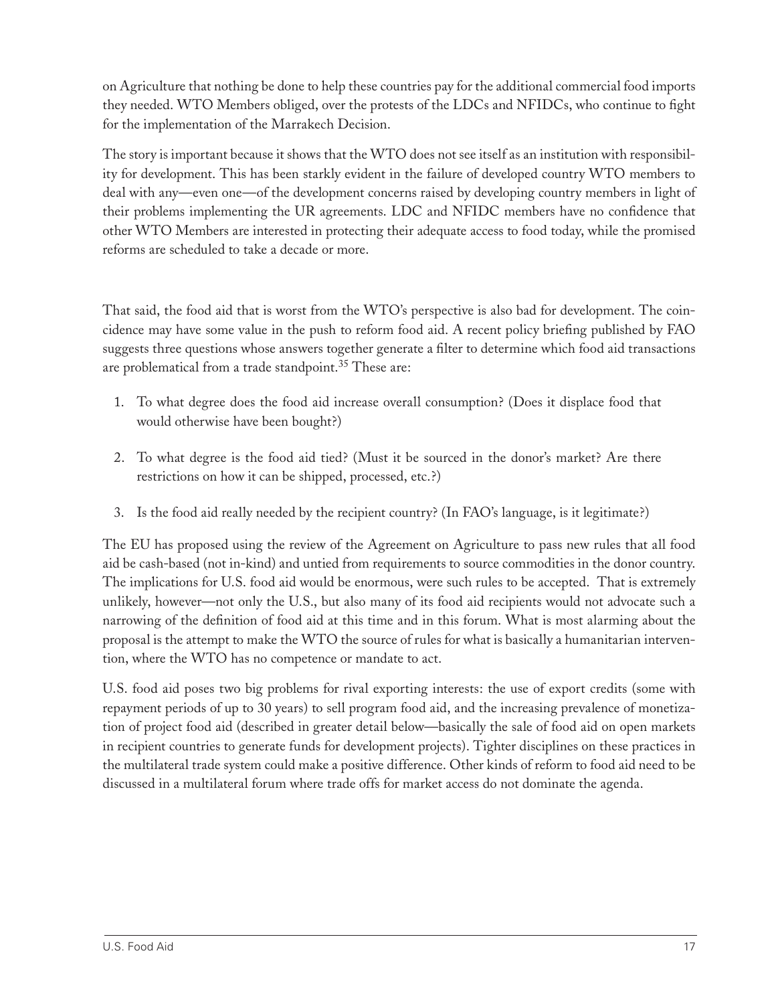on Agriculture that nothing be done to help these countries pay for the additional commercial food imports they needed. WTO Members obliged, over the protests of the LDCs and NFIDCs, who continue to fight for the implementation of the Marrakech Decision.

The story is important because it shows that the WTO does not see itself as an institution with responsibility for development. This has been starkly evident in the failure of developed country WTO members to deal with any—even one—of the development concerns raised by developing country members in light of their problems implementing the UR agreements. LDC and NFIDC members have no confidence that other WTO Members are interested in protecting their adequate access to food today, while the promised reforms are scheduled to take a decade or more.

That said, the food aid that is worst from the WTO's perspective is also bad for development. The coincidence may have some value in the push to reform food aid. A recent policy briefing published by FAO suggests three questions whose answers together generate a filter to determine which food aid transactions are problematical from a trade standpoint.<sup>35</sup> These are:

- 1. To what degree does the food aid increase overall consumption? (Does it displace food that would otherwise have been bought?)
- 2. To what degree is the food aid tied? (Must it be sourced in the donor's market? Are there restrictions on how it can be shipped, processed, etc.?)
- 3. Is the food aid really needed by the recipient country? (In FAO's language, is it legitimate?)

The EU has proposed using the review of the Agreement on Agriculture to pass new rules that all food aid be cash-based (not in-kind) and untied from requirements to source commodities in the donor country. The implications for U.S. food aid would be enormous, were such rules to be accepted. That is extremely unlikely, however—not only the U.S., but also many of its food aid recipients would not advocate such a narrowing of the definition of food aid at this time and in this forum. What is most alarming about the proposal is the attempt to make the WTO the source of rules for what is basically a humanitarian intervention, where the WTO has no competence or mandate to act.

U.S. food aid poses two big problems for rival exporting interests: the use of export credits (some with repayment periods of up to 30 years) to sell program food aid, and the increasing prevalence of monetization of project food aid (described in greater detail below—basically the sale of food aid on open markets in recipient countries to generate funds for development projects). Tighter disciplines on these practices in the multilateral trade system could make a positive difference. Other kinds of reform to food aid need to be discussed in a multilateral forum where trade offs for market access do not dominate the agenda.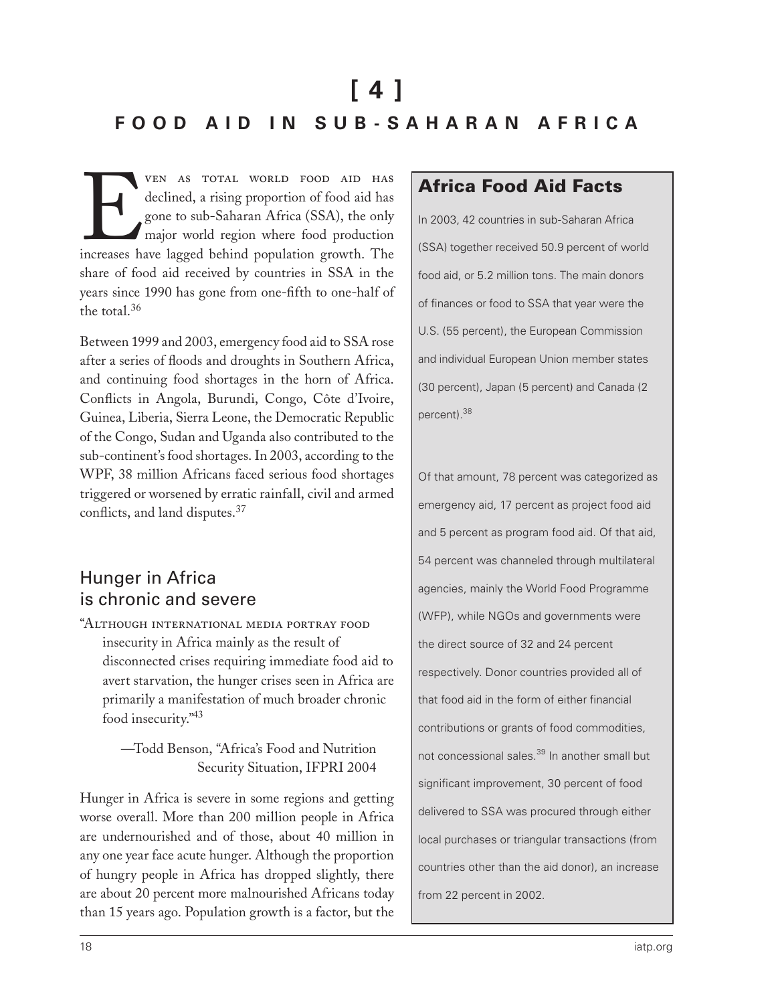# **[ 4 ] F O O D A I D I N S U B - S A H A R A N A F R I C A**

VEN AS TOTAL WORLD FOOD AID HAS<br>declined, a rising proportion of food aid has<br>gone to sub-Saharan Africa (SSA), the only<br>major world region where food production<br>increases have lagged behind population growth. The declined, a rising proportion of food aid has gone to sub-Saharan Africa (SSA), the only major world region where food production increases have lagged behind population growth. The share of food aid received by countries in SSA in the years since 1990 has gone from one-fifth to one-half of the total.<sup>36</sup>

Between 1999 and 2003, emergency food aid to SSA rose after a series of floods and droughts in Southern Africa, and continuing food shortages in the horn of Africa. Conflicts in Angola, Burundi, Congo, Côte d'Ivoire, Guinea, Liberia, Sierra Leone, the Democratic Republic of the Congo, Sudan and Uganda also contributed to the sub-continent's food shortages. In 2003, according to the WPF, 38 million Africans faced serious food shortages triggered or worsened by erratic rainfall, civil and armed conflicts, and land disputes.<sup>37</sup>

## Hunger in Africa is chronic and severe

"Although international media portray food insecurity in Africa mainly as the result of disconnected crises requiring immediate food aid to avert starvation, the hunger crises seen in Africa are primarily a manifestation of much broader chronic food insecurity."43

> —Todd Benson, "Africa's Food and Nutrition Security Situation, IFPRI 2004

Hunger in Africa is severe in some regions and getting worse overall. More than 200 million people in Africa are undernourished and of those, about 40 million in any one year face acute hunger. Although the proportion of hungry people in Africa has dropped slightly, there are about 20 percent more malnourished Africans today than 15 years ago. Population growth is a factor, but the

#### Africa Food Aid Facts

In 2003, 42 countries in sub-Saharan Africa (SSA) together received 50.9 percent of world food aid, or 5.2 million tons. The main donors of finances or food to SSA that year were the U.S. (55 percent), the European Commission and individual European Union member states (30 percent), Japan (5 percent) and Canada (2 percent).<sup>38</sup>

Of that amount, 78 percent was categorized as emergency aid, 17 percent as project food aid and 5 percent as program food aid. Of that aid, 54 percent was channeled through multilateral agencies, mainly the World Food Programme (WFP), while NGOs and governments were the direct source of 32 and 24 percent respectively. Donor countries provided all of that food aid in the form of either financial contributions or grants of food commodities, not concessional sales.<sup>39</sup> In another small but significant improvement, 30 percent of food delivered to SSA was procured through either local purchases or triangular transactions (from countries other than the aid donor), an increase from 22 percent in 2002.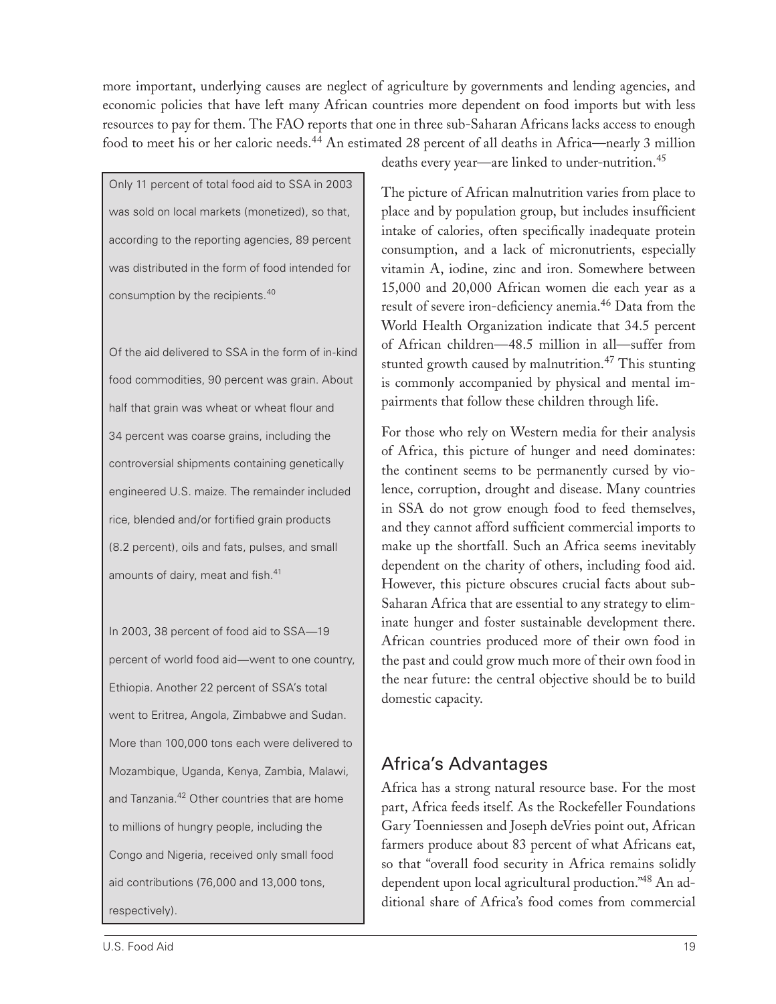more important, underlying causes are neglect of agriculture by governments and lending agencies, and economic policies that have left many African countries more dependent on food imports but with less resources to pay for them. The FAO reports that one in three sub-Saharan Africans lacks access to enough food to meet his or her caloric needs.<sup>44</sup> An estimated 28 percent of all deaths in Africa—nearly 3 million

Only 11 percent of total food aid to SSA in 2003 was sold on local markets (monetized), so that, according to the reporting agencies, 89 percent was distributed in the form of food intended for consumption by the recipients.<sup>40</sup>

Of the aid delivered to SSA in the form of in-kind food commodities, 90 percent was grain. About half that grain was wheat or wheat flour and 34 percent was coarse grains, including the controversial shipments containing genetically engineered U.S. maize. The remainder included rice, blended and/or fortified grain products (8.2 percent), oils and fats, pulses, and small amounts of dairy, meat and fish.<sup>41</sup>

In 2003, 38 percent of food aid to SSA—19 percent of world food aid—went to one country, Ethiopia. Another 22 percent of SSA's total went to Eritrea, Angola, Zimbabwe and Sudan. More than 100,000 tons each were delivered to Mozambique, Uganda, Kenya, Zambia, Malawi, and Tanzania.<sup>42</sup> Other countries that are home to millions of hungry people, including the Congo and Nigeria, received only small food aid contributions (76,000 and 13,000 tons, respectively).

deaths every year—are linked to under-nutrition.<sup>45</sup>

The picture of African malnutrition varies from place to place and by population group, but includes insufficient intake of calories, often specifically inadequate protein consumption, and a lack of micronutrients, especially vitamin A, iodine, zinc and iron. Somewhere between 15,000 and 20,000 African women die each year as a result of severe iron-deficiency anemia.<sup>46</sup> Data from the World Health Organization indicate that 34.5 percent of African children—48.5 million in all—suffer from stunted growth caused by malnutrition.<sup>47</sup> This stunting is commonly accompanied by physical and mental impairments that follow these children through life.

For those who rely on Western media for their analysis of Africa, this picture of hunger and need dominates: the continent seems to be permanently cursed by violence, corruption, drought and disease. Many countries in SSA do not grow enough food to feed themselves, and they cannot afford sufficient commercial imports to make up the shortfall. Such an Africa seems inevitably dependent on the charity of others, including food aid. However, this picture obscures crucial facts about sub-Saharan Africa that are essential to any strategy to eliminate hunger and foster sustainable development there. African countries produced more of their own food in the past and could grow much more of their own food in the near future: the central objective should be to build domestic capacity.

## Africa's Advantages

Africa has a strong natural resource base. For the most part, Africa feeds itself. As the Rockefeller Foundations Gary Toenniessen and Joseph deVries point out, African farmers produce about 83 percent of what Africans eat, so that "overall food security in Africa remains solidly dependent upon local agricultural production."48 An additional share of Africa's food comes from commercial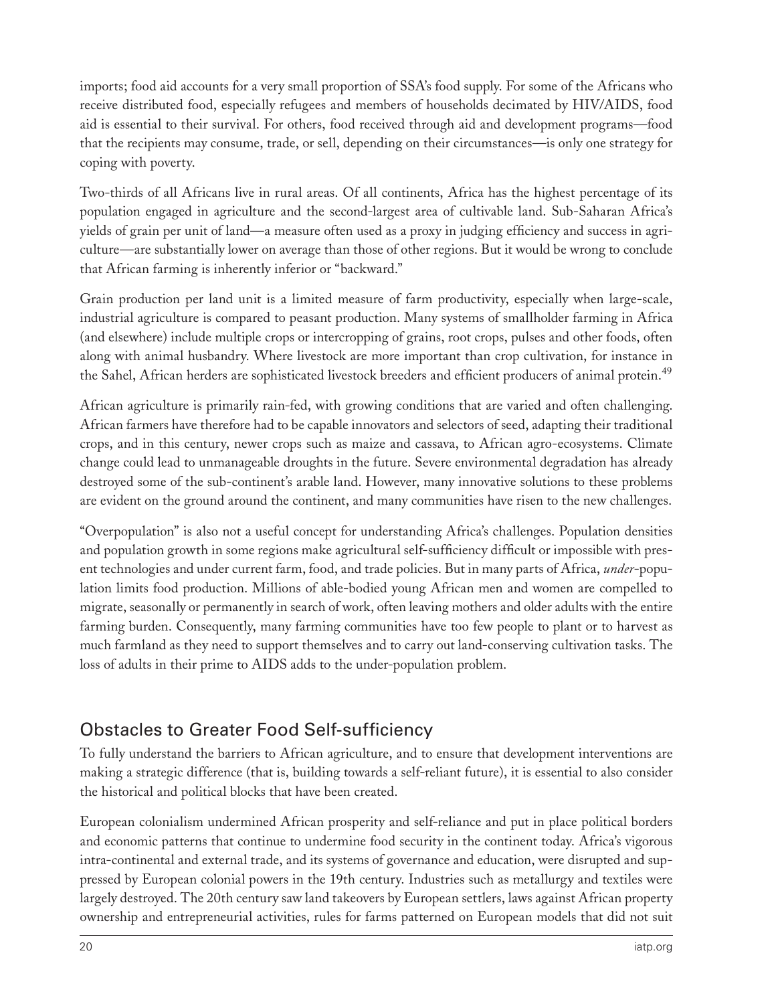imports; food aid accounts for a very small proportion of SSA's food supply. For some of the Africans who receive distributed food, especially refugees and members of households decimated by HIV/AIDS, food aid is essential to their survival. For others, food received through aid and development programs—food that the recipients may consume, trade, or sell, depending on their circumstances—is only one strategy for coping with poverty.

Two-thirds of all Africans live in rural areas. Of all continents, Africa has the highest percentage of its population engaged in agriculture and the second-largest area of cultivable land. Sub-Saharan Africa's yields of grain per unit of land—a measure often used as a proxy in judging efficiency and success in agriculture—are substantially lower on average than those of other regions. But it would be wrong to conclude that African farming is inherently inferior or "backward."

Grain production per land unit is a limited measure of farm productivity, especially when large-scale, industrial agriculture is compared to peasant production. Many systems of smallholder farming in Africa (and elsewhere) include multiple crops or intercropping of grains, root crops, pulses and other foods, often along with animal husbandry. Where livestock are more important than crop cultivation, for instance in the Sahel, African herders are sophisticated livestock breeders and efficient producers of animal protein.<sup>49</sup>

African agriculture is primarily rain-fed, with growing conditions that are varied and often challenging. African farmers have therefore had to be capable innovators and selectors of seed, adapting their traditional crops, and in this century, newer crops such as maize and cassava, to African agro-ecosystems. Climate change could lead to unmanageable droughts in the future. Severe environmental degradation has already destroyed some of the sub-continent's arable land. However, many innovative solutions to these problems are evident on the ground around the continent, and many communities have risen to the new challenges.

"Overpopulation" is also not a useful concept for understanding Africa's challenges. Population densities and population growth in some regions make agricultural self-sufficiency difficult or impossible with present technologies and under current farm, food, and trade policies. But in many parts of Africa, *under*-population limits food production. Millions of able-bodied young African men and women are compelled to migrate, seasonally or permanently in search of work, often leaving mothers and older adults with the entire farming burden. Consequently, many farming communities have too few people to plant or to harvest as much farmland as they need to support themselves and to carry out land-conserving cultivation tasks. The loss of adults in their prime to AIDS adds to the under-population problem.

#### Obstacles to Greater Food Self-sufficiency

To fully understand the barriers to African agriculture, and to ensure that development interventions are making a strategic difference (that is, building towards a self-reliant future), it is essential to also consider the historical and political blocks that have been created.

European colonialism undermined African prosperity and self-reliance and put in place political borders and economic patterns that continue to undermine food security in the continent today. Africa's vigorous intra-continental and external trade, and its systems of governance and education, were disrupted and suppressed by European colonial powers in the 19th century. Industries such as metallurgy and textiles were largely destroyed. The 20th century saw land takeovers by European settlers, laws against African property ownership and entrepreneurial activities, rules for farms patterned on European models that did not suit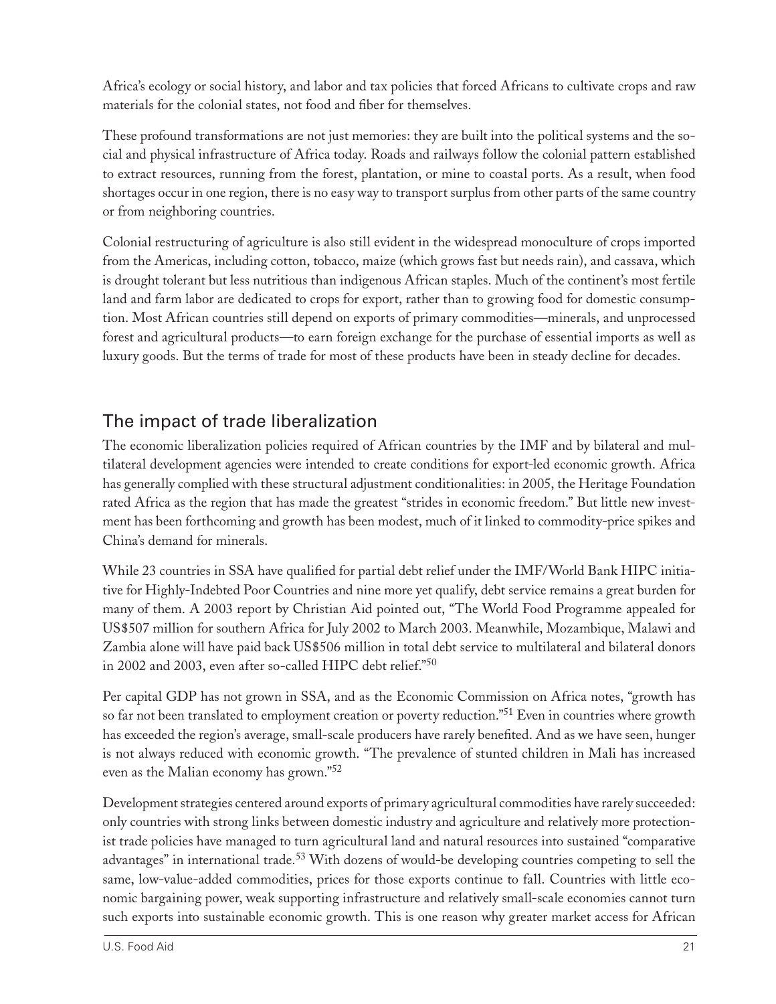Africa's ecology or social history, and labor and tax policies that forced Africans to cultivate crops and raw materials for the colonial states, not food and fiber for themselves.

These profound transformations are not just memories: they are built into the political systems and the social and physical infrastructure of Africa today. Roads and railways follow the colonial pattern established to extract resources, running from the forest, plantation, or mine to coastal ports. As a result, when food shortages occur in one region, there is no easy way to transport surplus from other parts of the same country or from neighboring countries.

Colonial restructuring of agriculture is also still evident in the widespread monoculture of crops imported from the Americas, including cotton, tobacco, maize (which grows fast but needs rain), and cassava, which is drought tolerant but less nutritious than indigenous African staples. Much of the continent's most fertile land and farm labor are dedicated to crops for export, rather than to growing food for domestic consumption. Most African countries still depend on exports of primary commodities—minerals, and unprocessed forest and agricultural products—to earn foreign exchange for the purchase of essential imports as well as luxury goods. But the terms of trade for most of these products have been in steady decline for decades.

## The impact of trade liberalization

The economic liberalization policies required of African countries by the IMF and by bilateral and multilateral development agencies were intended to create conditions for export-led economic growth. Africa has generally complied with these structural adjustment conditionalities: in 2005, the Heritage Foundation rated Africa as the region that has made the greatest "strides in economic freedom." But little new investment has been forthcoming and growth has been modest, much of it linked to commodity-price spikes and China's demand for minerals.

While 23 countries in SSA have qualified for partial debt relief under the IMF/World Bank HIPC initiative for Highly-Indebted Poor Countries and nine more yet qualify, debt service remains a great burden for many of them. A 2003 report by Christian Aid pointed out, "The World Food Programme appealed for US\$507 million for southern Africa for July 2002 to March 2003. Meanwhile, Mozambique, Malawi and Zambia alone will have paid back US\$506 million in total debt service to multilateral and bilateral donors in 2002 and 2003, even after so-called HIPC debt relief."<sup>50</sup>

Per capital GDP has not grown in SSA, and as the Economic Commission on Africa notes, "growth has so far not been translated to employment creation or poverty reduction."<sup>51</sup> Even in countries where growth has exceeded the region's average, small-scale producers have rarely benefited. And as we have seen, hunger is not always reduced with economic growth. "The prevalence of stunted children in Mali has increased even as the Malian economy has grown."<sup>52</sup>

Development strategies centered around exports of primary agricultural commodities have rarely succeeded: only countries with strong links between domestic industry and agriculture and relatively more protectionist trade policies have managed to turn agricultural land and natural resources into sustained "comparative advantages" in international trade.<sup>53</sup> With dozens of would-be developing countries competing to sell the same, low-value-added commodities, prices for those exports continue to fall. Countries with little economic bargaining power, weak supporting infrastructure and relatively small-scale economies cannot turn such exports into sustainable economic growth. This is one reason why greater market access for African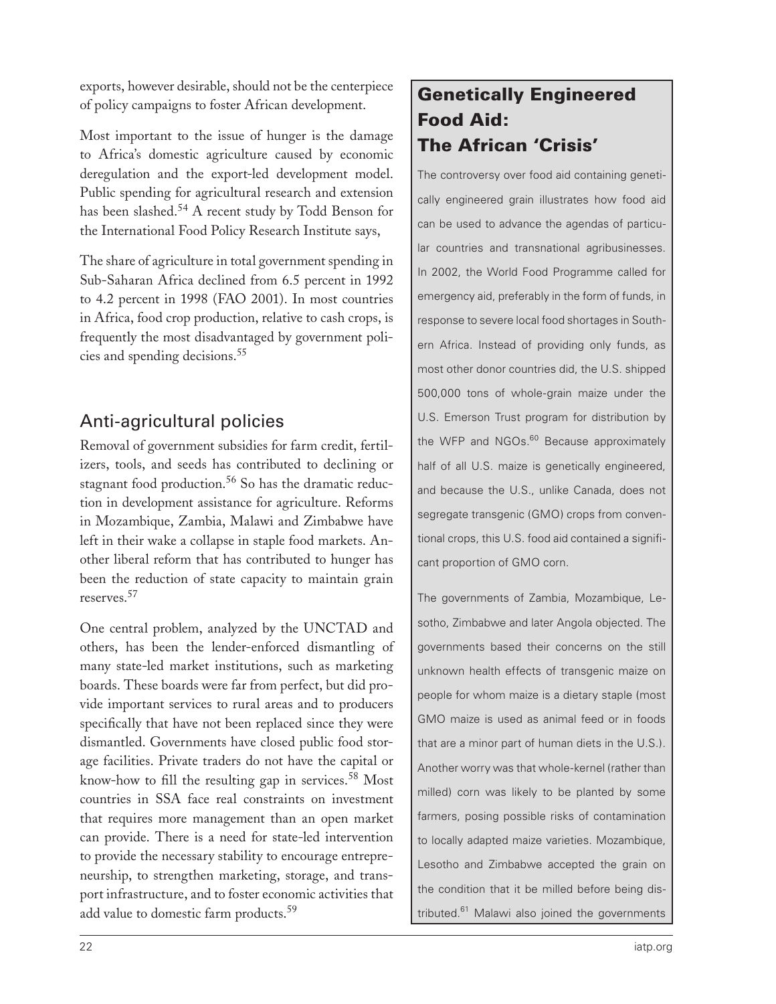exports, however desirable, should not be the centerpiece of policy campaigns to foster African development.

Most important to the issue of hunger is the damage to Africa's domestic agriculture caused by economic deregulation and the export-led development model. Public spending for agricultural research and extension has been slashed.<sup>54</sup> A recent study by Todd Benson for the International Food Policy Research Institute says,

The share of agriculture in total government spending in Sub-Saharan Africa declined from 6.5 percent in 1992 to 4.2 percent in 1998 (FAO 2001). In most countries in Africa, food crop production, relative to cash crops, is frequently the most disadvantaged by government policies and spending decisions.<sup>55</sup>

## Anti-agricultural policies

Removal of government subsidies for farm credit, fertilizers, tools, and seeds has contributed to declining or stagnant food production.<sup>56</sup> So has the dramatic reduction in development assistance for agriculture. Reforms in Mozambique, Zambia, Malawi and Zimbabwe have left in their wake a collapse in staple food markets. Another liberal reform that has contributed to hunger has been the reduction of state capacity to maintain grain reserves.<sup>57</sup>

One central problem, analyzed by the UNCTAD and others, has been the lender-enforced dismantling of many state-led market institutions, such as marketing boards. These boards were far from perfect, but did provide important services to rural areas and to producers specifically that have not been replaced since they were dismantled. Governments have closed public food storage facilities. Private traders do not have the capital or know-how to fill the resulting gap in services.<sup>58</sup> Most countries in SSA face real constraints on investment that requires more management than an open market can provide. There is a need for state-led intervention to provide the necessary stability to encourage entrepreneurship, to strengthen marketing, storage, and transport infrastructure, and to foster economic activities that add value to domestic farm products.<sup>59</sup>

## Genetically Engineered Food Aid: The African 'Crisis'

The controversy over food aid containing genetically engineered grain illustrates how food aid can be used to advance the agendas of particular countries and transnational agribusinesses. In 2002, the World Food Programme called for emergency aid, preferably in the form of funds, in response to severe local food shortages in Southern Africa. Instead of providing only funds, as most other donor countries did, the U.S. shipped 500,000 tons of whole-grain maize under the U.S. Emerson Trust program for distribution by the WFP and NGOs.<sup>60</sup> Because approximately half of all U.S. maize is genetically engineered, and because the U.S., unlike Canada, does not segregate transgenic (GMO) crops from conventional crops, this U.S. food aid contained a significant proportion of GMO corn.

The governments of Zambia, Mozambique, Lesotho, Zimbabwe and later Angola objected. The governments based their concerns on the still unknown health effects of transgenic maize on people for whom maize is a dietary staple (most GMO maize is used as animal feed or in foods that are a minor part of human diets in the U.S.). Another worry was that whole-kernel (rather than milled) corn was likely to be planted by some farmers, posing possible risks of contamination to locally adapted maize varieties. Mozambique, Lesotho and Zimbabwe accepted the grain on the condition that it be milled before being distributed.<sup>61</sup> Malawi also joined the governments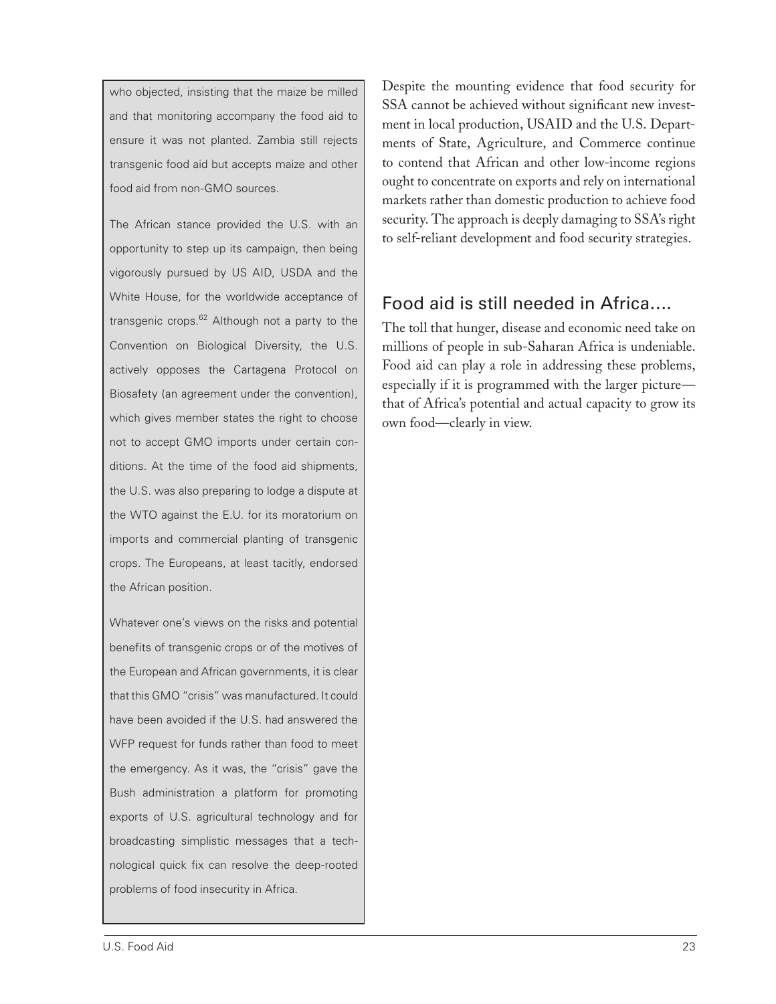who objected, insisting that the maize be milled and that monitoring accompany the food aid to ensure it was not planted. Zambia still rejects transgenic food aid but accepts maize and other food aid from non-GMO sources.

The African stance provided the U.S. with an opportunity to step up its campaign, then being vigorously pursued by US AID, USDA and the White House, for the worldwide acceptance of transgenic crops.<sup>62</sup> Although not a party to the Convention on Biological Diversity, the U.S. actively opposes the Cartagena Protocol on Biosafety (an agreement under the convention), which gives member states the right to choose not to accept GMO imports under certain conditions. At the time of the food aid shipments, the U.S. was also preparing to lodge a dispute at the WTO against the E.U. for its moratorium on imports and commercial planting of transgenic crops. The Europeans, at least tacitly, endorsed the African position.

Whatever one's views on the risks and potential benefits of transgenic crops or of the motives of the European and African governments, it is clear that this GMO "crisis" was manufactured. It could have been avoided if the U.S. had answered the WFP request for funds rather than food to meet the emergency. As it was, the "crisis" gave the Bush administration a platform for promoting exports of U.S. agricultural technology and for broadcasting simplistic messages that a technological quick fix can resolve the deep-rooted problems of food insecurity in Africa.

Despite the mounting evidence that food security for SSA cannot be achieved without significant new investment in local production, USAID and the U.S. Departments of State, Agriculture, and Commerce continue to contend that African and other low-income regions ought to concentrate on exports and rely on international markets rather than domestic production to achieve food security. The approach is deeply damaging to SSA's right to self-reliant development and food security strategies.

#### Food aid is still needed in Africa….

The toll that hunger, disease and economic need take on millions of people in sub-Saharan Africa is undeniable. Food aid can play a role in addressing these problems, especially if it is programmed with the larger picture that of Africa's potential and actual capacity to grow its own food—clearly in view.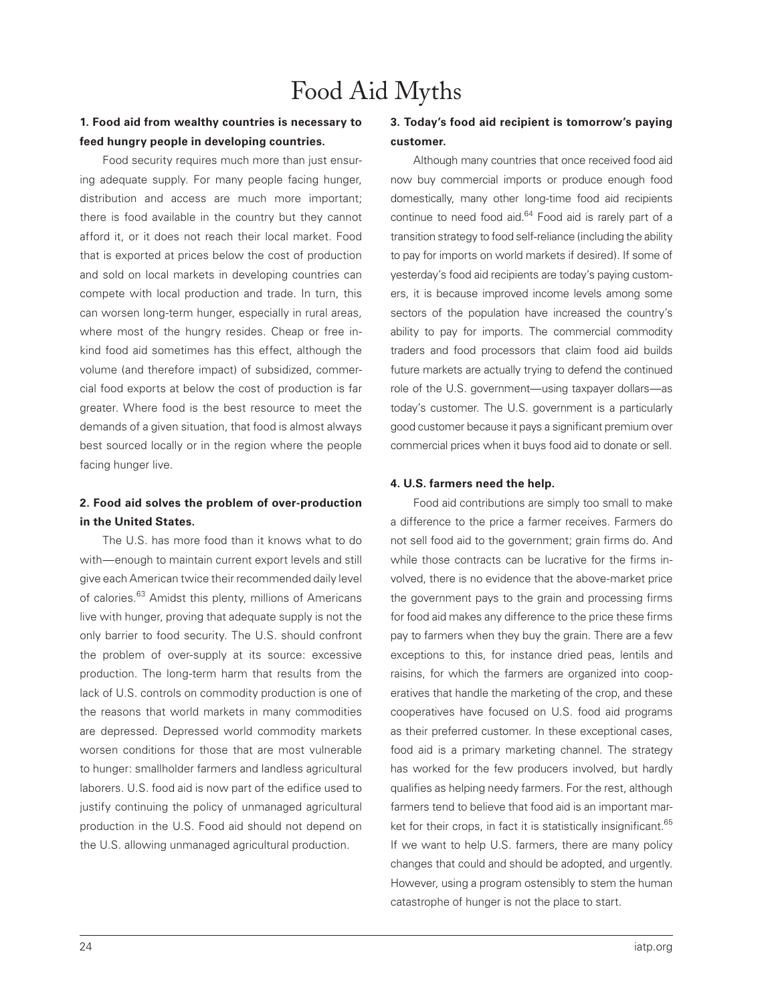# Food Aid Myths

#### **1. Food aid from wealthy countries is necessary to feed hungry people in developing countries.**

Food security requires much more than just ensuring adequate supply. For many people facing hunger, distribution and access are much more important; there is food available in the country but they cannot afford it, or it does not reach their local market. Food that is exported at prices below the cost of production and sold on local markets in developing countries can compete with local production and trade. In turn, this can worsen long-term hunger, especially in rural areas, where most of the hungry resides. Cheap or free inkind food aid sometimes has this effect, although the volume (and therefore impact) of subsidized, commercial food exports at below the cost of production is far greater. Where food is the best resource to meet the demands of a given situation, that food is almost always best sourced locally or in the region where the people facing hunger live.

#### **2. Food aid solves the problem of over-production in the United States.**

The U.S. has more food than it knows what to do with—enough to maintain current export levels and still give each American twice their recommended daily level of calories.<sup>63</sup> Amidst this plenty, millions of Americans live with hunger, proving that adequate supply is not the only barrier to food security. The U.S. should confront the problem of over-supply at its source: excessive production. The long-term harm that results from the lack of U.S. controls on commodity production is one of the reasons that world markets in many commodities are depressed. Depressed world commodity markets worsen conditions for those that are most vulnerable to hunger: smallholder farmers and landless agricultural laborers. U.S. food aid is now part of the edifice used to justify continuing the policy of unmanaged agricultural production in the U.S. Food aid should not depend on the U.S. allowing unmanaged agricultural production.

#### **3. Today's food aid recipient is tomorrow's paying customer.**

Although many countries that once received food aid now buy commercial imports or produce enough food domestically, many other long-time food aid recipients continue to need food aid.<sup>64</sup> Food aid is rarely part of a transition strategy to food self-reliance (including the ability to pay for imports on world markets if desired). If some of yesterday's food aid recipients are today's paying customers, it is because improved income levels among some sectors of the population have increased the country's ability to pay for imports. The commercial commodity traders and food processors that claim food aid builds future markets are actually trying to defend the continued role of the U.S. government—using taxpayer dollars—as today's customer. The U.S. government is a particularly good customer because it pays a significant premium over commercial prices when it buys food aid to donate or sell.

#### **4. U.S. farmers need the help.**

Food aid contributions are simply too small to make a difference to the price a farmer receives. Farmers do not sell food aid to the government; grain firms do. And while those contracts can be lucrative for the firms involved, there is no evidence that the above-market price the government pays to the grain and processing firms for food aid makes any difference to the price these firms pay to farmers when they buy the grain. There are a few exceptions to this, for instance dried peas, lentils and raisins, for which the farmers are organized into cooperatives that handle the marketing of the crop, and these cooperatives have focused on U.S. food aid programs as their preferred customer. In these exceptional cases, food aid is a primary marketing channel. The strategy has worked for the few producers involved, but hardly qualifies as helping needy farmers. For the rest, although farmers tend to believe that food aid is an important market for their crops, in fact it is statistically insignificant.<sup>65</sup> If we want to help U.S. farmers, there are many policy changes that could and should be adopted, and urgently. However, using a program ostensibly to stem the human catastrophe of hunger is not the place to start.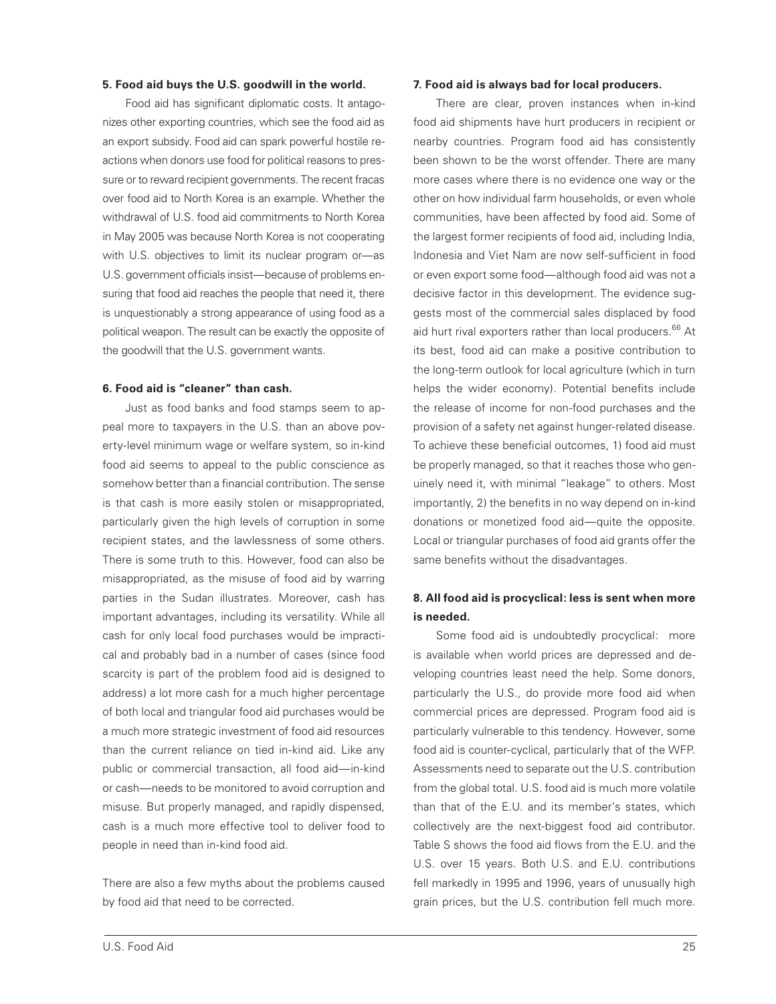#### **5. Food aid buys the U.S. goodwill in the world.**

Food aid has significant diplomatic costs. It antagonizes other exporting countries, which see the food aid as an export subsidy. Food aid can spark powerful hostile reactions when donors use food for political reasons to pressure or to reward recipient governments. The recent fracas over food aid to North Korea is an example. Whether the withdrawal of U.S. food aid commitments to North Korea in May 2005 was because North Korea is not cooperating with U.S. objectives to limit its nuclear program or—as U.S. government officials insist—because of problems ensuring that food aid reaches the people that need it, there is unquestionably a strong appearance of using food as a political weapon. The result can be exactly the opposite of the goodwill that the U.S. government wants.

#### **6. Food aid is "cleaner" than cash.**

Just as food banks and food stamps seem to appeal more to taxpayers in the U.S. than an above poverty-level minimum wage or welfare system, so in-kind food aid seems to appeal to the public conscience as somehow better than a financial contribution. The sense is that cash is more easily stolen or misappropriated, particularly given the high levels of corruption in some recipient states, and the lawlessness of some others. There is some truth to this. However, food can also be misappropriated, as the misuse of food aid by warring parties in the Sudan illustrates. Moreover, cash has important advantages, including its versatility. While all cash for only local food purchases would be impractical and probably bad in a number of cases (since food scarcity is part of the problem food aid is designed to address) a lot more cash for a much higher percentage of both local and triangular food aid purchases would be a much more strategic investment of food aid resources than the current reliance on tied in-kind aid. Like any public or commercial transaction, all food aid—in-kind or cash—needs to be monitored to avoid corruption and misuse. But properly managed, and rapidly dispensed, cash is a much more effective tool to deliver food to people in need than in-kind food aid.

There are also a few myths about the problems caused by food aid that need to be corrected.

#### **7. Food aid is always bad for local producers.**

There are clear, proven instances when in-kind food aid shipments have hurt producers in recipient or nearby countries. Program food aid has consistently been shown to be the worst offender. There are many more cases where there is no evidence one way or the other on how individual farm households, or even whole communities, have been affected by food aid. Some of the largest former recipients of food aid, including India, Indonesia and Viet Nam are now self-sufficient in food or even export some food—although food aid was not a decisive factor in this development. The evidence suggests most of the commercial sales displaced by food aid hurt rival exporters rather than local producers.<sup>66</sup> At its best, food aid can make a positive contribution to the long-term outlook for local agriculture (which in turn helps the wider economy). Potential benefits include the release of income for non-food purchases and the provision of a safety net against hunger-related disease. To achieve these beneficial outcomes, 1) food aid must be properly managed, so that it reaches those who genuinely need it, with minimal "leakage" to others. Most importantly, 2) the benefits in no way depend on in-kind donations or monetized food aid—quite the opposite. Local or triangular purchases of food aid grants offer the same benefits without the disadvantages.

#### **8. All food aid is procyclical: less is sent when more is needed.**

Some food aid is undoubtedly procyclical: more is available when world prices are depressed and developing countries least need the help. Some donors, particularly the U.S., do provide more food aid when commercial prices are depressed. Program food aid is particularly vulnerable to this tendency. However, some food aid is counter-cyclical, particularly that of the WFP. Assessments need to separate out the U.S. contribution from the global total. U.S. food aid is much more volatile than that of the E.U. and its member's states, which collectively are the next-biggest food aid contributor. Table S shows the food aid flows from the E.U. and the U.S. over 15 years. Both U.S. and E.U. contributions fell markedly in 1995 and 1996, years of unusually high grain prices, but the U.S. contribution fell much more.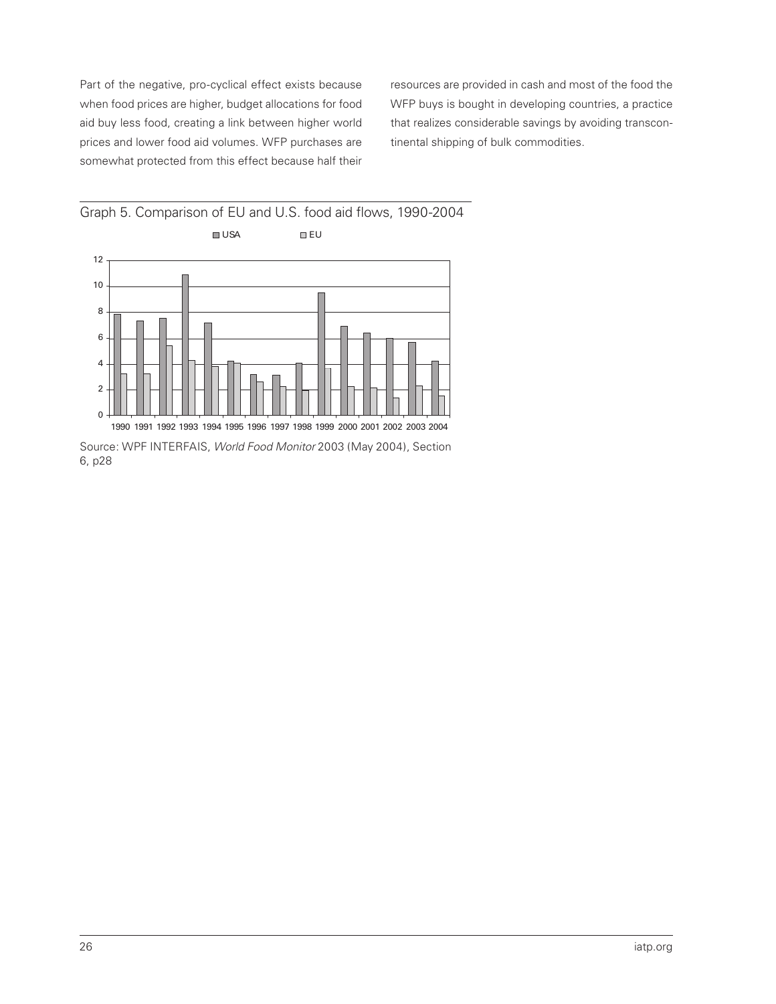Part of the negative, pro-cyclical effect exists because when food prices are higher, budget allocations for food aid buy less food, creating a link between higher world prices and lower food aid volumes. WFP purchases are somewhat protected from this effect because half their

resources are provided in cash and most of the food the WFP buys is bought in developing countries, a practice that realizes considerable savings by avoiding transcontinental shipping of bulk commodities.



Source: WPF INTERFAIS, World Food Monitor 2003 (May 2004), Section 6, p28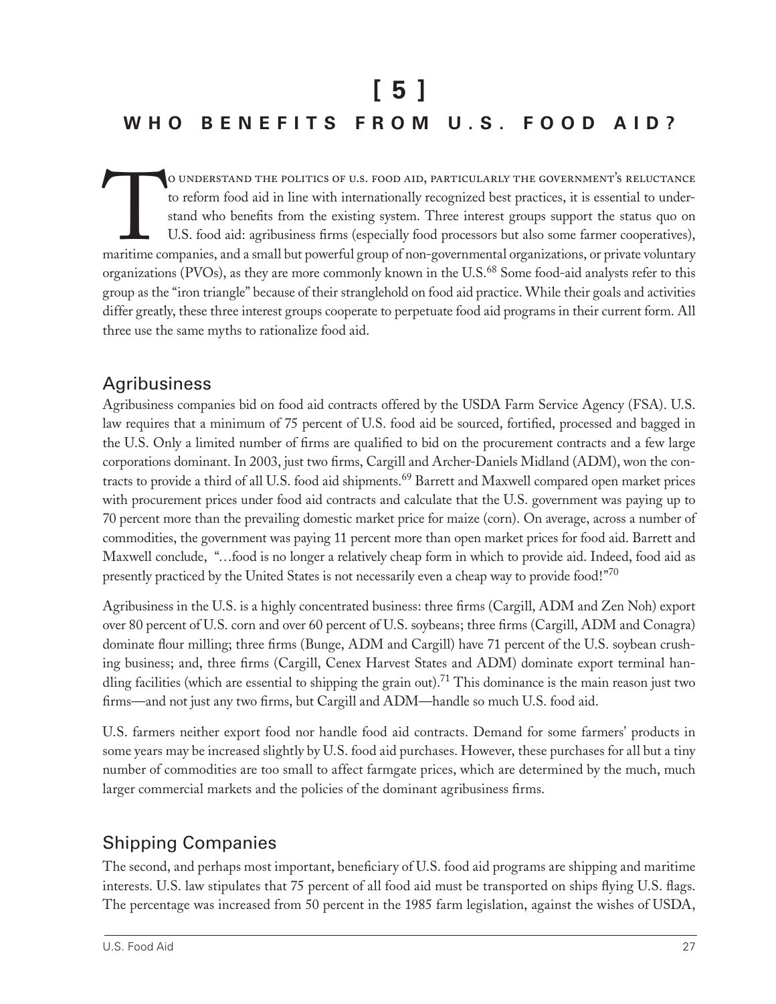# **[ 5 ]** WHO BENEFITS FROM U.S. FOOD AID?

O UNDERSTAND THE POLITICS OF U.S. FOOD AID, PARTICULARLY THE GOVERNMENT'S RELUCTANCE<br>to reform food aid in line with internationally recognized best practices, it is essential to under-<br>stand who benefits from the existing to reform food aid in line with internationally recognized best practices, it is essential to understand who benefits from the existing system. Three interest groups support the status quo on U.S. food aid: agribusiness firms (especially food processors but also some farmer cooperatives), maritime companies, and a small but powerful group of non-governmental organizations, or private voluntary organizations (PVOs), as they are more commonly known in the U.S.<sup>68</sup> Some food-aid analysts refer to this group as the "iron triangle" because of their stranglehold on food aid practice. While their goals and activities differ greatly, these three interest groups cooperate to perpetuate food aid programs in their current form. All three use the same myths to rationalize food aid.

#### Agribusiness

Agribusiness companies bid on food aid contracts offered by the USDA Farm Service Agency (FSA). U.S. law requires that a minimum of 75 percent of U.S. food aid be sourced, fortified, processed and bagged in the U.S. Only a limited number of firms are qualified to bid on the procurement contracts and a few large corporations dominant. In 2003, just two firms, Cargill and Archer-Daniels Midland (ADM), won the contracts to provide a third of all U.S. food aid shipments.<sup>69</sup> Barrett and Maxwell compared open market prices with procurement prices under food aid contracts and calculate that the U.S. government was paying up to 70 percent more than the prevailing domestic market price for maize (corn). On average, across a number of commodities, the government was paying 11 percent more than open market prices for food aid. Barrett and Maxwell conclude, "…food is no longer a relatively cheap form in which to provide aid. Indeed, food aid as presently practiced by the United States is not necessarily even a cheap way to provide food!"<sup>70</sup>

Agribusiness in the U.S. is a highly concentrated business: three firms (Cargill, ADM and Zen Noh) export over 80 percent of U.S. corn and over 60 percent of U.S. soybeans; three firms (Cargill, ADM and Conagra) dominate flour milling; three firms (Bunge, ADM and Cargill) have 71 percent of the U.S. soybean crushing business; and, three firms (Cargill, Cenex Harvest States and ADM) dominate export terminal handling facilities (which are essential to shipping the grain out).<sup>71</sup> This dominance is the main reason just two firms—and not just any two firms, but Cargill and ADM—handle so much U.S. food aid.

U.S. farmers neither export food nor handle food aid contracts. Demand for some farmers' products in some years may be increased slightly by U.S. food aid purchases. However, these purchases for all but a tiny number of commodities are too small to affect farmgate prices, which are determined by the much, much larger commercial markets and the policies of the dominant agribusiness firms.

## Shipping Companies

The second, and perhaps most important, beneficiary of U.S. food aid programs are shipping and maritime interests. U.S. law stipulates that 75 percent of all food aid must be transported on ships flying U.S. flags. The percentage was increased from 50 percent in the 1985 farm legislation, against the wishes of USDA,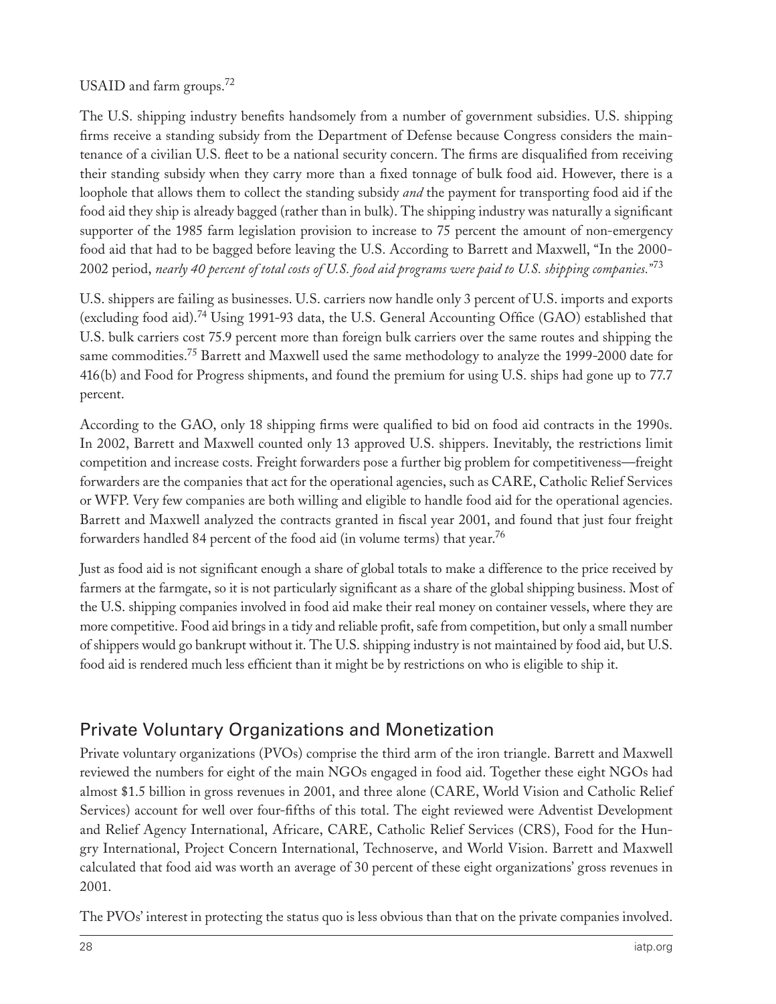#### USAID and farm groups.<sup>72</sup>

The U.S. shipping industry benefits handsomely from a number of government subsidies. U.S. shipping firms receive a standing subsidy from the Department of Defense because Congress considers the maintenance of a civilian U.S. fleet to be a national security concern. The firms are disqualified from receiving their standing subsidy when they carry more than a fixed tonnage of bulk food aid. However, there is a loophole that allows them to collect the standing subsidy *and* the payment for transporting food aid if the food aid they ship is already bagged (rather than in bulk). The shipping industry was naturally a significant supporter of the 1985 farm legislation provision to increase to 75 percent the amount of non-emergency food aid that had to be bagged before leaving the U.S. According to Barrett and Maxwell, "In the 2000- 2002 period, *nearly 40 percent of total costs of U.S. food aid programs were paid to U.S. shipping companies."*<sup>73</sup>

U.S. shippers are failing as businesses. U.S. carriers now handle only 3 percent of U.S. imports and exports (excluding food aid).<sup>74</sup> Using 1991-93 data, the U.S. General Accounting Office (GAO) established that U.S. bulk carriers cost 75.9 percent more than foreign bulk carriers over the same routes and shipping the same commodities.<sup>75</sup> Barrett and Maxwell used the same methodology to analyze the 1999-2000 date for 416(b) and Food for Progress shipments, and found the premium for using U.S. ships had gone up to 77.7 percent.

According to the GAO, only 18 shipping firms were qualified to bid on food aid contracts in the 1990s. In 2002, Barrett and Maxwell counted only 13 approved U.S. shippers. Inevitably, the restrictions limit competition and increase costs. Freight forwarders pose a further big problem for competitiveness—freight forwarders are the companies that act for the operational agencies, such as CARE, Catholic Relief Services or WFP. Very few companies are both willing and eligible to handle food aid for the operational agencies. Barrett and Maxwell analyzed the contracts granted in fiscal year 2001, and found that just four freight forwarders handled 84 percent of the food aid (in volume terms) that year.<sup>76</sup>

Just as food aid is not significant enough a share of global totals to make a difference to the price received by farmers at the farmgate, so it is not particularly significant as a share of the global shipping business. Most of the U.S. shipping companies involved in food aid make their real money on container vessels, where they are more competitive. Food aid brings in a tidy and reliable profit, safe from competition, but only a small number of shippers would go bankrupt without it. The U.S. shipping industry is not maintained by food aid, but U.S. food aid is rendered much less efficient than it might be by restrictions on who is eligible to ship it.

## Private Voluntary Organizations and Monetization

Private voluntary organizations (PVOs) comprise the third arm of the iron triangle. Barrett and Maxwell reviewed the numbers for eight of the main NGOs engaged in food aid. Together these eight NGOs had almost \$1.5 billion in gross revenues in 2001, and three alone (CARE, World Vision and Catholic Relief Services) account for well over four-fifths of this total. The eight reviewed were Adventist Development and Relief Agency International, Africare, CARE, Catholic Relief Services (CRS), Food for the Hungry International, Project Concern International, Technoserve, and World Vision. Barrett and Maxwell calculated that food aid was worth an average of 30 percent of these eight organizations' gross revenues in 2001.

The PVOs' interest in protecting the status quo is less obvious than that on the private companies involved.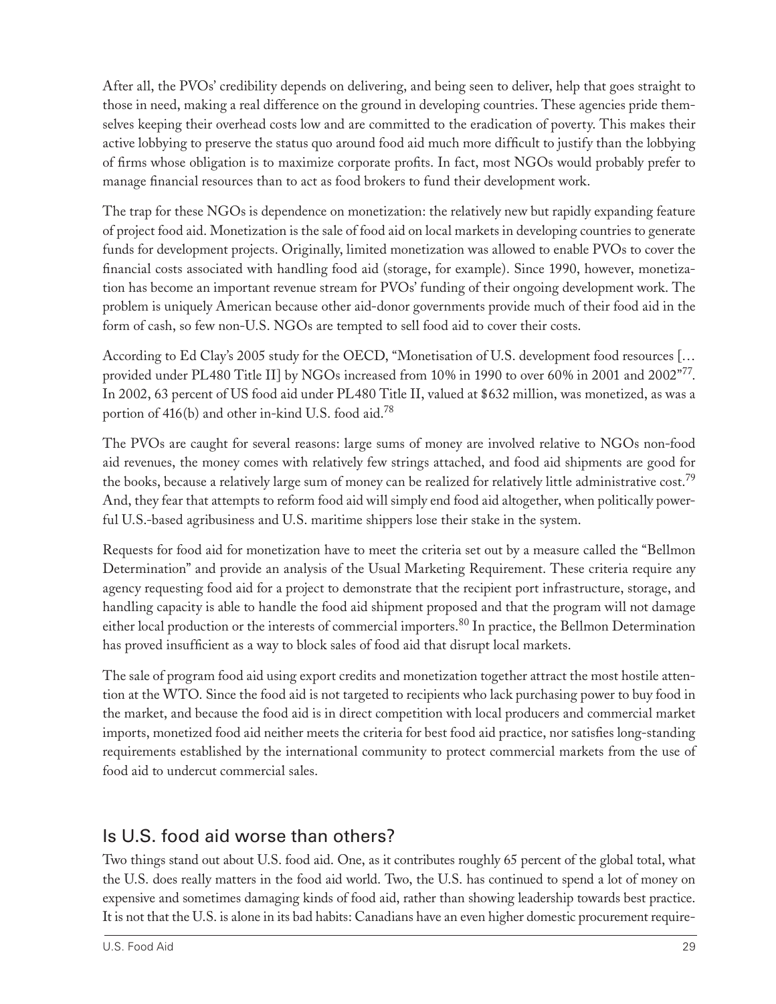After all, the PVOs' credibility depends on delivering, and being seen to deliver, help that goes straight to those in need, making a real difference on the ground in developing countries. These agencies pride themselves keeping their overhead costs low and are committed to the eradication of poverty. This makes their active lobbying to preserve the status quo around food aid much more difficult to justify than the lobbying of firms whose obligation is to maximize corporate profits. In fact, most NGOs would probably prefer to manage financial resources than to act as food brokers to fund their development work.

The trap for these NGOs is dependence on monetization: the relatively new but rapidly expanding feature of project food aid. Monetization is the sale of food aid on local markets in developing countries to generate funds for development projects. Originally, limited monetization was allowed to enable PVOs to cover the financial costs associated with handling food aid (storage, for example). Since 1990, however, monetization has become an important revenue stream for PVOs' funding of their ongoing development work. The problem is uniquely American because other aid-donor governments provide much of their food aid in the form of cash, so few non-U.S. NGOs are tempted to sell food aid to cover their costs.

According to Ed Clay's 2005 study for the OECD, "Monetisation of U.S. development food resources [… provided under PL480 Title II] by NGOs increased from 10% in 1990 to over 60% in 2001 and 2002"<sup>77</sup>. In 2002, 63 percent of US food aid under PL480 Title II, valued at \$632 million, was monetized, as was a portion of 416(b) and other in-kind U.S. food aid.78

The PVOs are caught for several reasons: large sums of money are involved relative to NGOs non-food aid revenues, the money comes with relatively few strings attached, and food aid shipments are good for the books, because a relatively large sum of money can be realized for relatively little administrative cost.<sup>79</sup> And, they fear that attempts to reform food aid will simply end food aid altogether, when politically powerful U.S.-based agribusiness and U.S. maritime shippers lose their stake in the system.

Requests for food aid for monetization have to meet the criteria set out by a measure called the "Bellmon Determination" and provide an analysis of the Usual Marketing Requirement. These criteria require any agency requesting food aid for a project to demonstrate that the recipient port infrastructure, storage, and handling capacity is able to handle the food aid shipment proposed and that the program will not damage either local production or the interests of commercial importers.<sup>80</sup> In practice, the Bellmon Determination has proved insufficient as a way to block sales of food aid that disrupt local markets.

The sale of program food aid using export credits and monetization together attract the most hostile attention at the WTO. Since the food aid is not targeted to recipients who lack purchasing power to buy food in the market, and because the food aid is in direct competition with local producers and commercial market imports, monetized food aid neither meets the criteria for best food aid practice, nor satisfies long-standing requirements established by the international community to protect commercial markets from the use of food aid to undercut commercial sales.

## Is U.S. food aid worse than others?

Two things stand out about U.S. food aid. One, as it contributes roughly 65 percent of the global total, what the U.S. does really matters in the food aid world. Two, the U.S. has continued to spend a lot of money on expensive and sometimes damaging kinds of food aid, rather than showing leadership towards best practice. It is not that the U.S. is alone in its bad habits: Canadians have an even higher domestic procurement require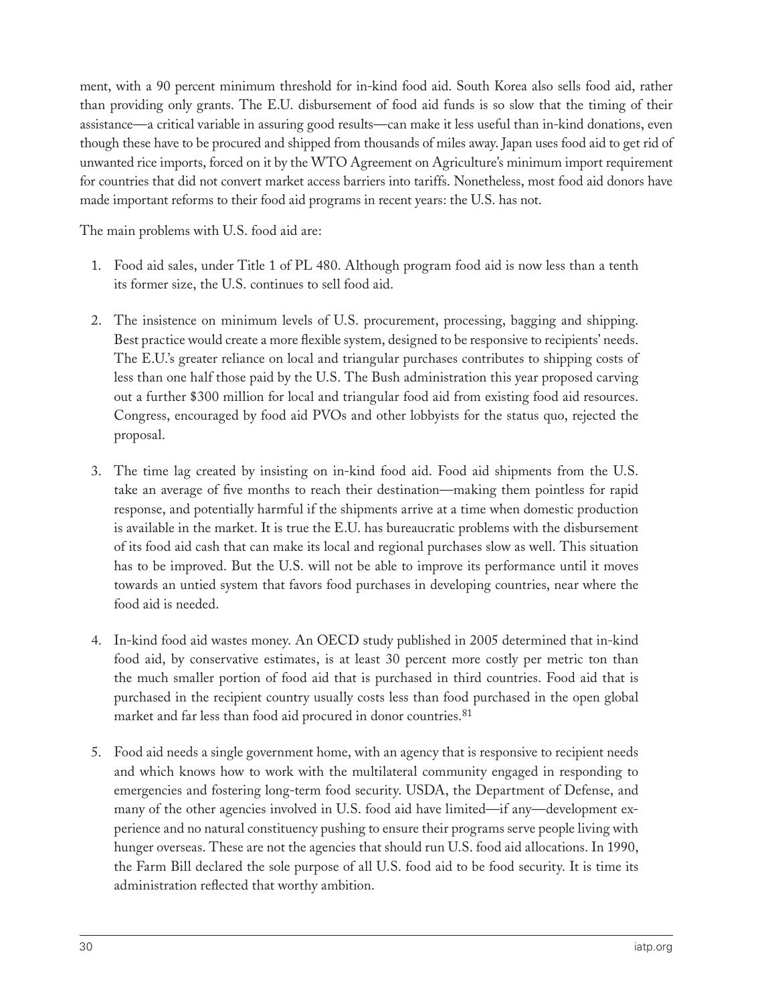ment, with a 90 percent minimum threshold for in-kind food aid. South Korea also sells food aid, rather than providing only grants. The E.U. disbursement of food aid funds is so slow that the timing of their assistance—a critical variable in assuring good results—can make it less useful than in-kind donations, even though these have to be procured and shipped from thousands of miles away. Japan uses food aid to get rid of unwanted rice imports, forced on it by the WTO Agreement on Agriculture's minimum import requirement for countries that did not convert market access barriers into tariffs. Nonetheless, most food aid donors have made important reforms to their food aid programs in recent years: the U.S. has not.

The main problems with U.S. food aid are:

- 1. Food aid sales, under Title 1 of PL 480. Although program food aid is now less than a tenth its former size, the U.S. continues to sell food aid.
- 2. The insistence on minimum levels of U.S. procurement, processing, bagging and shipping. Best practice would create a more flexible system, designed to be responsive to recipients' needs. The E.U.'s greater reliance on local and triangular purchases contributes to shipping costs of less than one half those paid by the U.S. The Bush administration this year proposed carving out a further \$300 million for local and triangular food aid from existing food aid resources. Congress, encouraged by food aid PVOs and other lobbyists for the status quo, rejected the proposal.
- 3. The time lag created by insisting on in-kind food aid. Food aid shipments from the U.S. take an average of five months to reach their destination—making them pointless for rapid response, and potentially harmful if the shipments arrive at a time when domestic production is available in the market. It is true the E.U. has bureaucratic problems with the disbursement of its food aid cash that can make its local and regional purchases slow as well. This situation has to be improved. But the U.S. will not be able to improve its performance until it moves towards an untied system that favors food purchases in developing countries, near where the food aid is needed.
- 4. In-kind food aid wastes money. An OECD study published in 2005 determined that in-kind food aid, by conservative estimates, is at least 30 percent more costly per metric ton than the much smaller portion of food aid that is purchased in third countries. Food aid that is purchased in the recipient country usually costs less than food purchased in the open global market and far less than food aid procured in donor countries.81
- 5. Food aid needs a single government home, with an agency that is responsive to recipient needs and which knows how to work with the multilateral community engaged in responding to emergencies and fostering long-term food security. USDA, the Department of Defense, and many of the other agencies involved in U.S. food aid have limited—if any—development experience and no natural constituency pushing to ensure their programs serve people living with hunger overseas. These are not the agencies that should run U.S. food aid allocations. In 1990, the Farm Bill declared the sole purpose of all U.S. food aid to be food security. It is time its administration reflected that worthy ambition.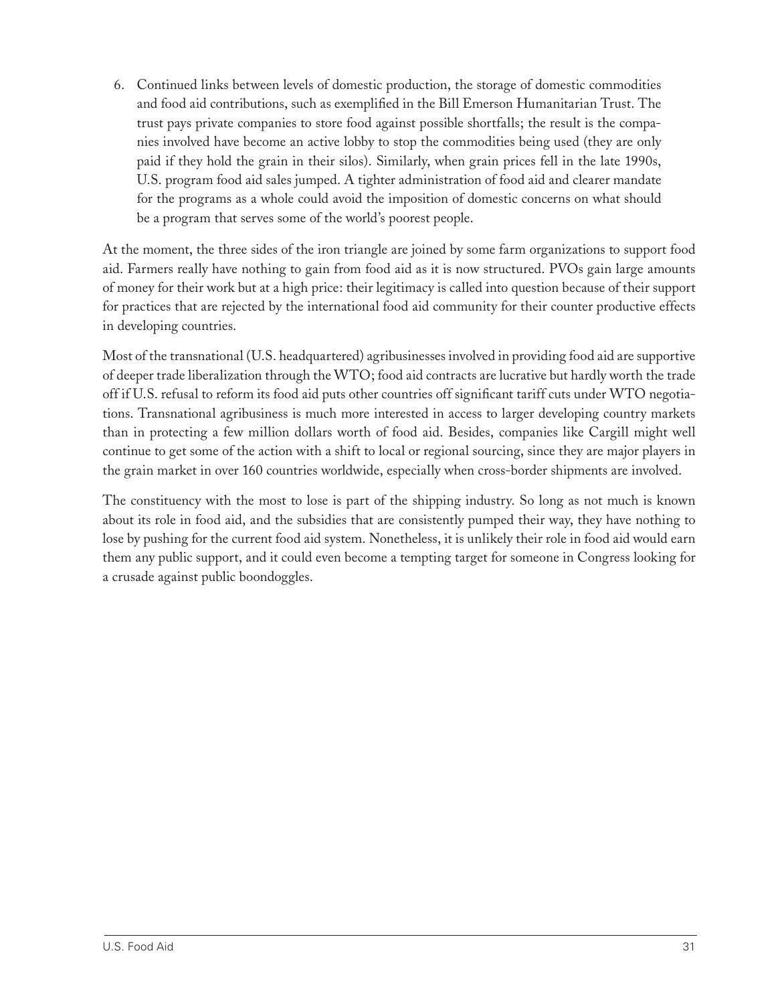6. Continued links between levels of domestic production, the storage of domestic commodities and food aid contributions, such as exemplified in the Bill Emerson Humanitarian Trust. The trust pays private companies to store food against possible shortfalls; the result is the companies involved have become an active lobby to stop the commodities being used (they are only paid if they hold the grain in their silos). Similarly, when grain prices fell in the late 1990s, U.S. program food aid sales jumped. A tighter administration of food aid and clearer mandate for the programs as a whole could avoid the imposition of domestic concerns on what should be a program that serves some of the world's poorest people.

At the moment, the three sides of the iron triangle are joined by some farm organizations to support food aid. Farmers really have nothing to gain from food aid as it is now structured. PVOs gain large amounts of money for their work but at a high price: their legitimacy is called into question because of their support for practices that are rejected by the international food aid community for their counter productive effects in developing countries.

Most of the transnational (U.S. headquartered) agribusinesses involved in providing food aid are supportive of deeper trade liberalization through the WTO; food aid contracts are lucrative but hardly worth the trade off if U.S. refusal to reform its food aid puts other countries off significant tariff cuts under WTO negotiations. Transnational agribusiness is much more interested in access to larger developing country markets than in protecting a few million dollars worth of food aid. Besides, companies like Cargill might well continue to get some of the action with a shift to local or regional sourcing, since they are major players in the grain market in over 160 countries worldwide, especially when cross-border shipments are involved.

The constituency with the most to lose is part of the shipping industry. So long as not much is known about its role in food aid, and the subsidies that are consistently pumped their way, they have nothing to lose by pushing for the current food aid system. Nonetheless, it is unlikely their role in food aid would earn them any public support, and it could even become a tempting target for someone in Congress looking for a crusade against public boondoggles.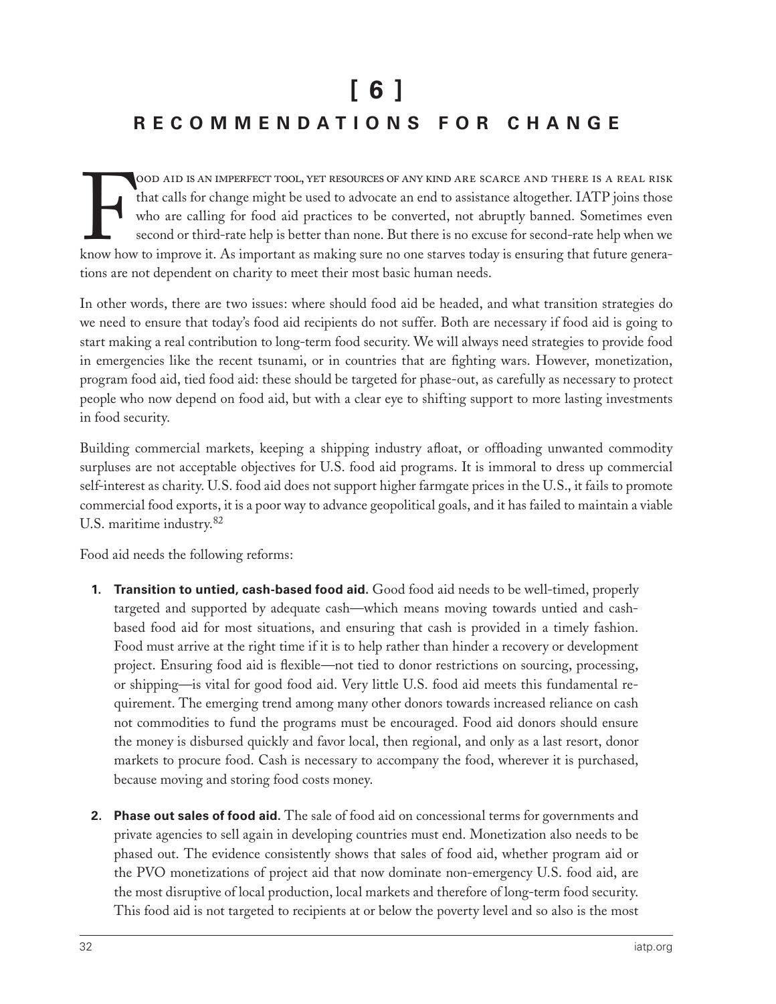# **[ 6 ] R E C O M M E N D A T I O N S F O R C H A N G E**

FOOD AID IS AN IMPERFECT TOOL, YET RESOURCES OF ANY KIND ARE SCARCE AND THERE IS A REAL RISK that calls for change might be used to advocate an end to assistance altogether. IATP joins those who are calling for food aid pr ood aid is an imperfect tool, yet resources of any kind are scarce and there is a real risk that calls for change might be used to advocate an end to assistance altogether. IATP joins those who are calling for food aid practices to be converted, not abruptly banned. Sometimes even second or third-rate help is better than none. But there is no excuse for second-rate help when we tions are not dependent on charity to meet their most basic human needs.

In other words, there are two issues: where should food aid be headed, and what transition strategies do we need to ensure that today's food aid recipients do not suffer. Both are necessary if food aid is going to start making a real contribution to long-term food security. We will always need strategies to provide food in emergencies like the recent tsunami, or in countries that are fighting wars. However, monetization, program food aid, tied food aid: these should be targeted for phase-out, as carefully as necessary to protect people who now depend on food aid, but with a clear eye to shifting support to more lasting investments in food security.

Building commercial markets, keeping a shipping industry afloat, or offloading unwanted commodity surpluses are not acceptable objectives for U.S. food aid programs. It is immoral to dress up commercial self-interest as charity. U.S. food aid does not support higher farmgate prices in the U.S., it fails to promote commercial food exports, it is a poor way to advance geopolitical goals, and it has failed to maintain a viable U.S. maritime industry.<sup>82</sup>

Food aid needs the following reforms:

- **1. Transition to untied, cash-based food aid.** Good food aid needs to be well-timed, properly targeted and supported by adequate cash—which means moving towards untied and cashbased food aid for most situations, and ensuring that cash is provided in a timely fashion. Food must arrive at the right time if it is to help rather than hinder a recovery or development project. Ensuring food aid is flexible—not tied to donor restrictions on sourcing, processing, or shipping—is vital for good food aid. Very little U.S. food aid meets this fundamental requirement. The emerging trend among many other donors towards increased reliance on cash not commodities to fund the programs must be encouraged. Food aid donors should ensure the money is disbursed quickly and favor local, then regional, and only as a last resort, donor markets to procure food. Cash is necessary to accompany the food, wherever it is purchased, because moving and storing food costs money.
- **2. Phase out sales of food aid.** The sale of food aid on concessional terms for governments and private agencies to sell again in developing countries must end. Monetization also needs to be phased out. The evidence consistently shows that sales of food aid, whether program aid or the PVO monetizations of project aid that now dominate non-emergency U.S. food aid, are the most disruptive of local production, local markets and therefore of long-term food security. This food aid is not targeted to recipients at or below the poverty level and so also is the most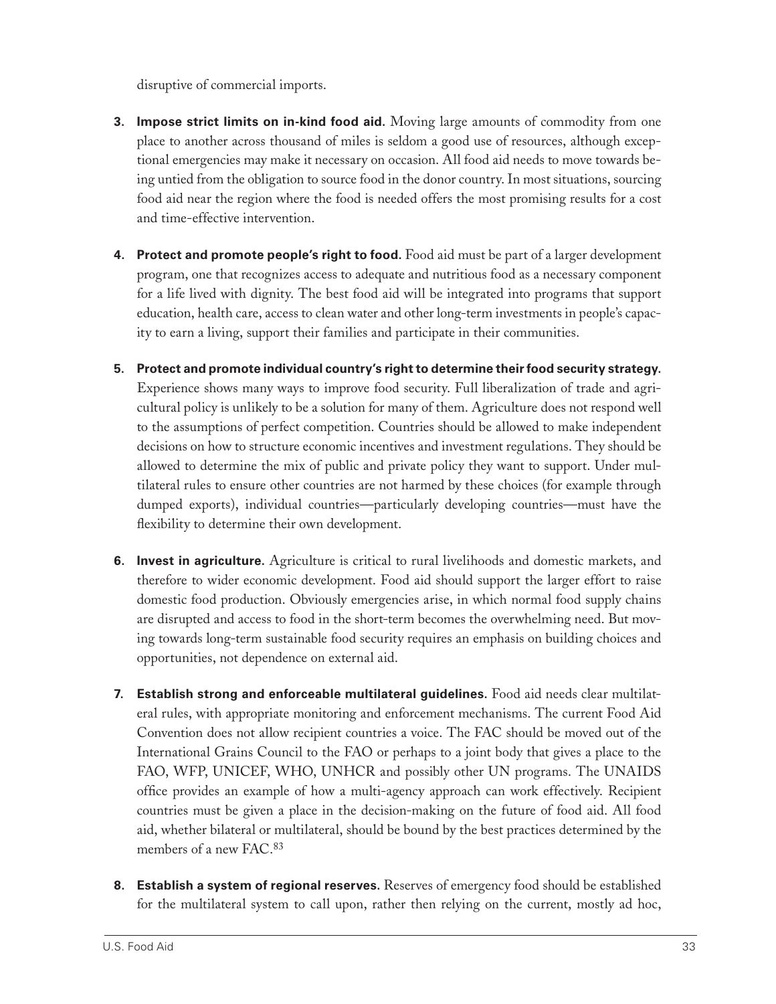disruptive of commercial imports.

- **3. Impose strict limits on in-kind food aid.** Moving large amounts of commodity from one place to another across thousand of miles is seldom a good use of resources, although exceptional emergencies may make it necessary on occasion. All food aid needs to move towards being untied from the obligation to source food in the donor country. In most situations, sourcing food aid near the region where the food is needed offers the most promising results for a cost and time-effective intervention.
- **4. Protect and promote people's right to food.** Food aid must be part of a larger development program, one that recognizes access to adequate and nutritious food as a necessary component for a life lived with dignity. The best food aid will be integrated into programs that support education, health care, access to clean water and other long-term investments in people's capacity to earn a living, support their families and participate in their communities.
- **5. Protect and promote individual country's right to determine their food security strategy.**  Experience shows many ways to improve food security. Full liberalization of trade and agricultural policy is unlikely to be a solution for many of them. Agriculture does not respond well to the assumptions of perfect competition. Countries should be allowed to make independent decisions on how to structure economic incentives and investment regulations. They should be allowed to determine the mix of public and private policy they want to support. Under multilateral rules to ensure other countries are not harmed by these choices (for example through dumped exports), individual countries—particularly developing countries—must have the flexibility to determine their own development.
- **6. Invest in agriculture.** Agriculture is critical to rural livelihoods and domestic markets, and therefore to wider economic development. Food aid should support the larger effort to raise domestic food production. Obviously emergencies arise, in which normal food supply chains are disrupted and access to food in the short-term becomes the overwhelming need. But moving towards long-term sustainable food security requires an emphasis on building choices and opportunities, not dependence on external aid.
- **7. Establish strong and enforceable multilateral guidelines.** Food aid needs clear multilateral rules, with appropriate monitoring and enforcement mechanisms. The current Food Aid Convention does not allow recipient countries a voice. The FAC should be moved out of the International Grains Council to the FAO or perhaps to a joint body that gives a place to the FAO, WFP, UNICEF, WHO, UNHCR and possibly other UN programs. The UNAIDS office provides an example of how a multi-agency approach can work effectively. Recipient countries must be given a place in the decision-making on the future of food aid. All food aid, whether bilateral or multilateral, should be bound by the best practices determined by the members of a new FAC.83
- **8. Establish a system of regional reserves.** Reserves of emergency food should be established for the multilateral system to call upon, rather then relying on the current, mostly ad hoc,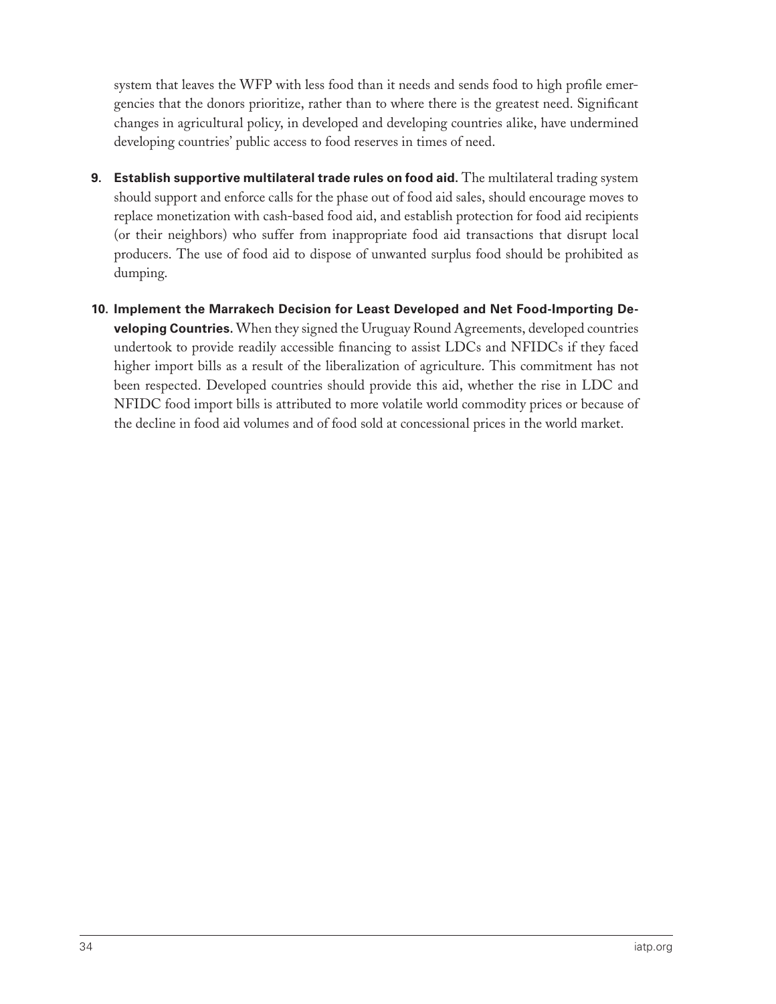system that leaves the WFP with less food than it needs and sends food to high profile emergencies that the donors prioritize, rather than to where there is the greatest need. Significant changes in agricultural policy, in developed and developing countries alike, have undermined developing countries' public access to food reserves in times of need.

- **9. Establish supportive multilateral trade rules on food aid.** The multilateral trading system should support and enforce calls for the phase out of food aid sales, should encourage moves to replace monetization with cash-based food aid, and establish protection for food aid recipients (or their neighbors) who suffer from inappropriate food aid transactions that disrupt local producers. The use of food aid to dispose of unwanted surplus food should be prohibited as dumping.
- **10. Implement the Marrakech Decision for Least Developed and Net Food-Importing Developing Countries.** When they signed the Uruguay Round Agreements, developed countries undertook to provide readily accessible financing to assist LDCs and NFIDCs if they faced higher import bills as a result of the liberalization of agriculture. This commitment has not been respected. Developed countries should provide this aid, whether the rise in LDC and NFIDC food import bills is attributed to more volatile world commodity prices or because of the decline in food aid volumes and of food sold at concessional prices in the world market.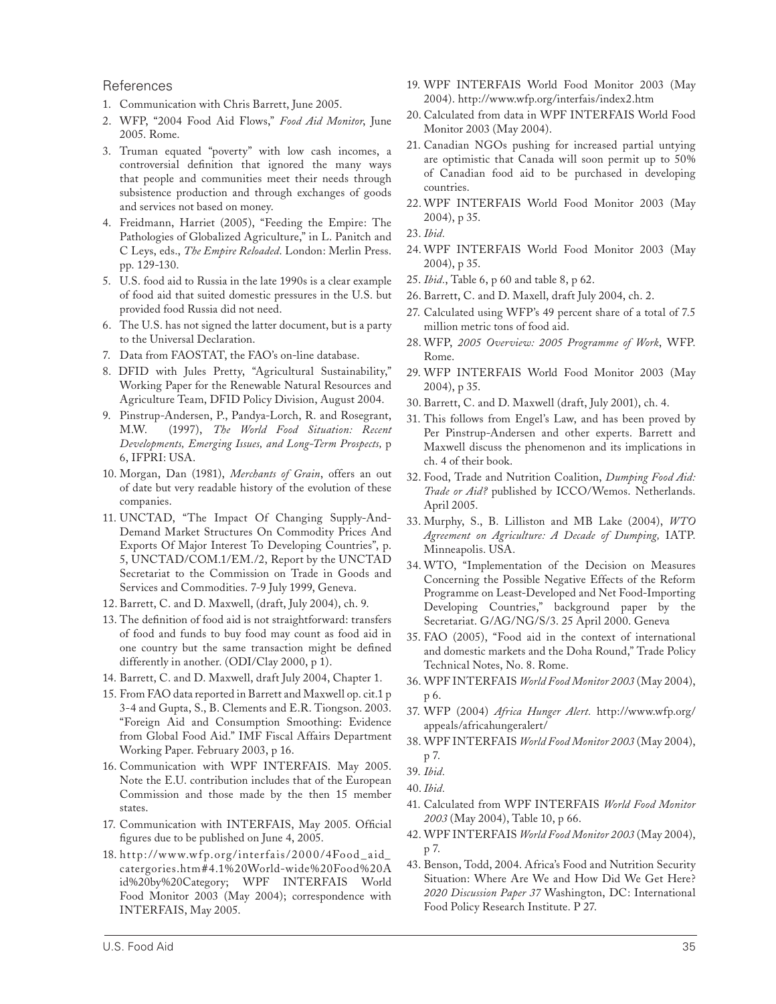#### References

- 1. Communication with Chris Barrett, June 2005.
- 2. WFP, "2004 Food Aid Flows," *Food Aid Monitor*, June 2005. Rome.
- 3. Truman equated "poverty" with low cash incomes, a controversial definition that ignored the many ways that people and communities meet their needs through subsistence production and through exchanges of goods and services not based on money.
- 4. Freidmann, Harriet (2005), "Feeding the Empire: The Pathologies of Globalized Agriculture," in L. Panitch and C Leys, eds., *The Empire Reloaded*. London: Merlin Press. pp. 129-130.
- 5. U.S. food aid to Russia in the late 1990s is a clear example of food aid that suited domestic pressures in the U.S. but provided food Russia did not need.
- 6. The U.S. has not signed the latter document, but is a party to the Universal Declaration.
- 7. Data from FAOSTAT, the FAO's on-line database.
- 8. DFID with Jules Pretty, "Agricultural Sustainability," Working Paper for the Renewable Natural Resources and Agriculture Team, DFID Policy Division, August 2004.
- 9. Pinstrup-Andersen, P., Pandya-Lorch, R. and Rosegrant, M.W. (1997), *The World Food Situation: Recent Developments, Emerging Issues, and Long-Term Prospects,* p 6, IFPRI: USA.
- 10. Morgan, Dan (1981), *Merchants of Grain*, offers an out of date but very readable history of the evolution of these companies.
- 11. UNCTAD, "The Impact Of Changing Supply-And-Demand Market Structures On Commodity Prices And Exports Of Major Interest To Developing Countries", p. 5, UNCTAD/COM.1/EM./2, Report by the UNCTAD Secretariat to the Commission on Trade in Goods and Services and Commodities. 7-9 July 1999, Geneva.
- 12. Barrett, C. and D. Maxwell, (draft, July 2004), ch. 9.
- 13. The definition of food aid is not straightforward: transfers of food and funds to buy food may count as food aid in one country but the same transaction might be defined differently in another. (ODI/Clay 2000, p 1).
- 14. Barrett, C. and D. Maxwell, draft July 2004, Chapter 1.
- 15. From FAO data reported in Barrett and Maxwell op. cit.1 p 3-4 and Gupta, S., B. Clements and E.R. Tiongson. 2003. "Foreign Aid and Consumption Smoothing: Evidence from Global Food Aid." IMF Fiscal Affairs Department Working Paper. February 2003, p 16.
- 16. Communication with WPF INTERFAIS. May 2005. Note the E.U. contribution includes that of the European Commission and those made by the then 15 member states.
- 17. Communication with INTERFAIS, May 2005. Official figures due to be published on June 4, 2005.
- 18. http: //w w w.w fp.org/interfais /20 0 0 /4Food \_aid\_ catergories.htm#4.1%20World-wide%20Food%20A id%20by%20Category; WPF INTERFAIS World Food Monitor 2003 (May 2004); correspondence with INTERFAIS, May 2005.
- 19. WPF INTERFAIS World Food Monitor 2003 (May 2004). http://www.wfp.org/interfais/index2.htm
- 20. Calculated from data in WPF INTERFAIS World Food Monitor 2003 (May 2004).
- 21. Canadian NGOs pushing for increased partial untying are optimistic that Canada will soon permit up to 50% of Canadian food aid to be purchased in developing countries.
- 22. WPF INTERFAIS World Food Monitor 2003 (May 2004), p 35.
- 23. *Ibid.*
- 24. WPF INTERFAIS World Food Monitor 2003 (May 2004), p 35.
- 25. *Ibid.*, Table 6, p 60 and table 8, p 62.
- 26. Barrett, C. and D. Maxell, draft July 2004, ch. 2.
- 27. Calculated using WFP's 49 percent share of a total of 7.5 million metric tons of food aid.
- 28. WFP, *2005 Overview: 2005 Programme of Work*, WFP. Rome.
- 29. WFP INTERFAIS World Food Monitor 2003 (May 2004), p 35.
- 30. Barrett, C. and D. Maxwell (draft, July 2001), ch. 4.
- 31. This follows from Engel's Law, and has been proved by Per Pinstrup-Andersen and other experts. Barrett and Maxwell discuss the phenomenon and its implications in ch. 4 of their book.
- 32. Food, Trade and Nutrition Coalition, *Dumping Food Aid: Trade or Aid?* published by ICCO/Wemos. Netherlands. April 2005.
- 33. Murphy, S., B. Lilliston and MB Lake (2004), *WTO Agreement on Agriculture: A Decade of Dumping,* IATP. Minneapolis. USA.
- 34. WTO, "Implementation of the Decision on Measures Concerning the Possible Negative Effects of the Reform Programme on Least-Developed and Net Food-Importing Developing Countries," background paper by the Secretariat. G/AG/NG/S/3. 25 April 2000. Geneva
- 35. FAO (2005), "Food aid in the context of international and domestic markets and the Doha Round," Trade Policy Technical Notes, No. 8. Rome.
- 36. WPF INTERFAIS *World Food Monitor 2003* (May 2004), p 6.
- 37. WFP (2004) *Africa Hunger Alert.* http://www.wfp.org/ appeals/africahungeralert/
- 38. WPF INTERFAIS *World Food Monitor 2003* (May 2004), p 7.

- 41. Calculated from WPF INTERFAIS *World Food Monitor 2003* (May 2004), Table 10, p 66.
- 42. WPF INTERFAIS *World Food Monitor 2003* (May 2004), p 7.
- 43. Benson, Todd, 2004. Africa's Food and Nutrition Security Situation: Where Are We and How Did We Get Here? *2020 Discussion Paper 37* Washington, DC: International Food Policy Research Institute. P 27.

<sup>39.</sup> *Ibid.*

<sup>40.</sup> *Ibid.*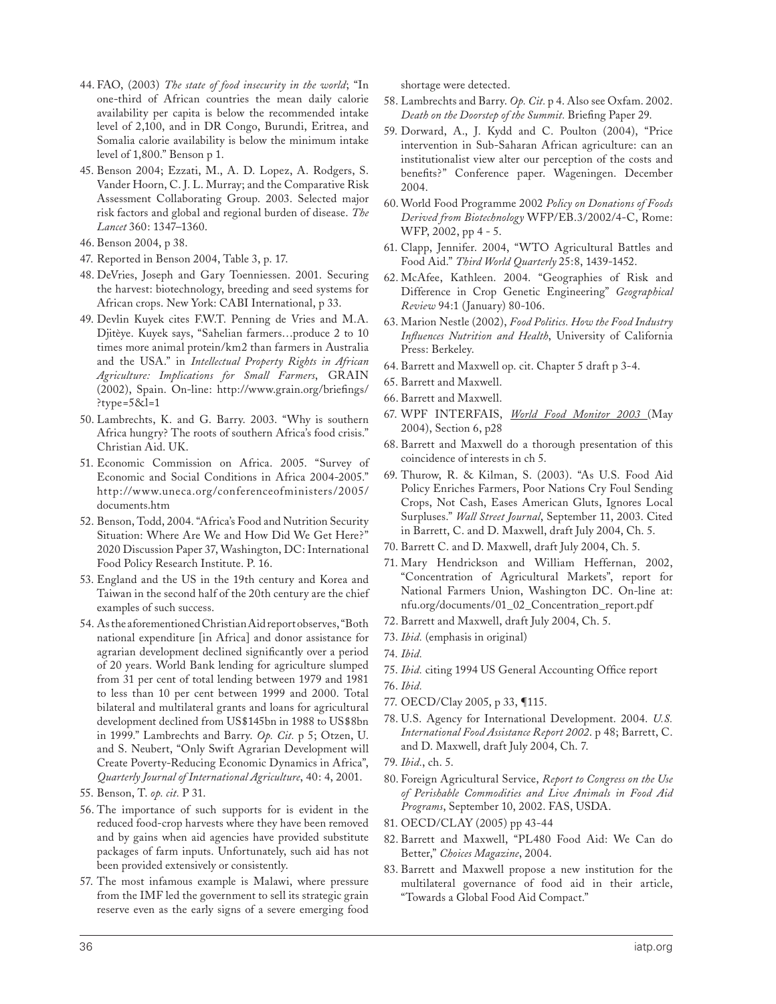- 44. FAO, (2003) *The state of food insecurity in the world*; "In one-third of African countries the mean daily calorie availability per capita is below the recommended intake level of 2,100, and in DR Congo, Burundi, Eritrea, and Somalia calorie availability is below the minimum intake level of 1,800." Benson p 1.
- 45. Benson 2004; Ezzati, M., A. D. Lopez, A. Rodgers, S. Vander Hoorn, C. J. L. Murray; and the Comparative Risk Assessment Collaborating Group. 2003. Selected major risk factors and global and regional burden of disease. *The Lancet* 360: 1347–1360.
- 46. Benson 2004, p 38.
- 47. Reported in Benson 2004, Table 3, p. 17.
- 48. DeVries, Joseph and Gary Toenniessen. 2001. Securing the harvest: biotechnology, breeding and seed systems for African crops. New York: CABI International, p 33.
- 49. Devlin Kuyek cites F.W.T. Penning de Vries and M.A. Djitèye. Kuyek says, "Sahelian farmers…produce 2 to 10 times more animal protein/km2 than farmers in Australia and the USA." in *Intellectual Property Rights in African Agriculture: Implications for Small Farmers*, GRAIN (2002), Spain. On-line: http://www.grain.org/briefings/ ?type= $5&1$ =1
- 50. Lambrechts, K. and G. Barry. 2003. "Why is southern Africa hungry? The roots of southern Africa's food crisis." Christian Aid. UK.
- 51. Economic Commission on Africa. 2005. "Survey of Economic and Social Conditions in Africa 2004-2005." http://www.uneca.org/conferenceofministers/2005/ documents.htm
- 52. Benson, Todd, 2004. "Africa's Food and Nutrition Security Situation: Where Are We and How Did We Get Here?" 2020 Discussion Paper 37, Washington, DC: International Food Policy Research Institute. P. 16.
- 53. England and the US in the 19th century and Korea and Taiwan in the second half of the 20th century are the chief examples of such success.
- 54. As the aforementioned Christian Aid report observes, "Both national expenditure [in Africa] and donor assistance for agrarian development declined significantly over a period of 20 years. World Bank lending for agriculture slumped from 31 per cent of total lending between 1979 and 1981 to less than 10 per cent between 1999 and 2000. Total bilateral and multilateral grants and loans for agricultural development declined from US\$145bn in 1988 to US\$8bn in 1999." Lambrechts and Barry. *Op. Cit.* p 5; Otzen, U. and S. Neubert, "Only Swift Agrarian Development will Create Poverty-Reducing Economic Dynamics in Africa", *Quarterly Journal of International Agriculture*, 40: 4, 2001.
- 55. Benson, T. *op. cit.* P 31.
- 56. The importance of such supports for is evident in the reduced food-crop harvests where they have been removed and by gains when aid agencies have provided substitute packages of farm inputs. Unfortunately, such aid has not been provided extensively or consistently.
- 57. The most infamous example is Malawi, where pressure from the IMF led the government to sell its strategic grain reserve even as the early signs of a severe emerging food

shortage were detected.

- 58. Lambrechts and Barry. *Op. Cit.* p 4. Also see Oxfam. 2002. *Death on the Doorstep of the Summit.* Briefing Paper 29.
- 59. Dorward, A., J. Kydd and C. Poulton (2004), "Price intervention in Sub-Saharan African agriculture: can an institutionalist view alter our perception of the costs and benefits?" Conference paper. Wageningen. December 2004.
- 60. World Food Programme 2002 *Policy on Donations of Foods Derived from Biotechnology* WFP/EB.3/2002/4-C, Rome: WFP, 2002, pp 4 - 5.
- 61. Clapp, Jennifer. 2004, "WTO Agricultural Battles and Food Aid." *Third World Quarterly* 25:8, 1439-1452.
- 62. McAfee, Kathleen. 2004. "Geographies of Risk and Difference in Crop Genetic Engineering" *Geographical Review* 94:1 (January) 80-106.
- 63. Marion Nestle (2002), *Food Politics. How the Food Industry Influences Nutrition and Health*, University of California Press: Berkeley.
- 64. Barrett and Maxwell op. cit. Chapter 5 draft p 3-4.
- 65. Barrett and Maxwell.
- 66. Barrett and Maxwell.
- 67. WPF INTERFAIS, *World Food Monitor 2003* (May 2004), Section 6, p28
- 68. Barrett and Maxwell do a thorough presentation of this coincidence of interests in ch 5.
- 69. Thurow, R. & Kilman, S. (2003). "As U.S. Food Aid Policy Enriches Farmers, Poor Nations Cry Foul Sending Crops, Not Cash, Eases American Gluts, Ignores Local Surpluses." *Wall Street Journal*, September 11, 2003. Cited in Barrett, C. and D. Maxwell, draft July 2004, Ch. 5.
- 70. Barrett C. and D. Maxwell, draft July 2004, Ch. 5.
- 71. Mary Hendrickson and William Heffernan, 2002, "Concentration of Agricultural Markets", report for National Farmers Union, Washington DC. On-line at: nfu.org/documents/01\_02\_Concentration\_report.pdf
- 72. Barrett and Maxwell, draft July 2004, Ch. 5.
- 73. *Ibid.* (emphasis in original)
- 74. *Ibid.*
- 75. *Ibid.* citing 1994 US General Accounting Office report
- 76. *Ibid.*
- 77. OECD/Clay 2005, p 33, ¶115.
- 78. U.S. Agency for International Development. 2004. *U.S. International Food Assistance Report 2002*. p 48; Barrett, C. and D. Maxwell, draft July 2004, Ch. 7.
- 79. *Ibid.*, ch. 5.
- 80. Foreign Agricultural Service, *Report to Congress on the Use of Perishable Commodities and Live Animals in Food Aid Programs*, September 10, 2002. FAS, USDA.
- 81. OECD/CLAY (2005) pp 43-44
- 82. Barrett and Maxwell, "PL480 Food Aid: We Can do Better," *Choices Magazine*, 2004.
- 83. Barrett and Maxwell propose a new institution for the multilateral governance of food aid in their article, "Towards a Global Food Aid Compact."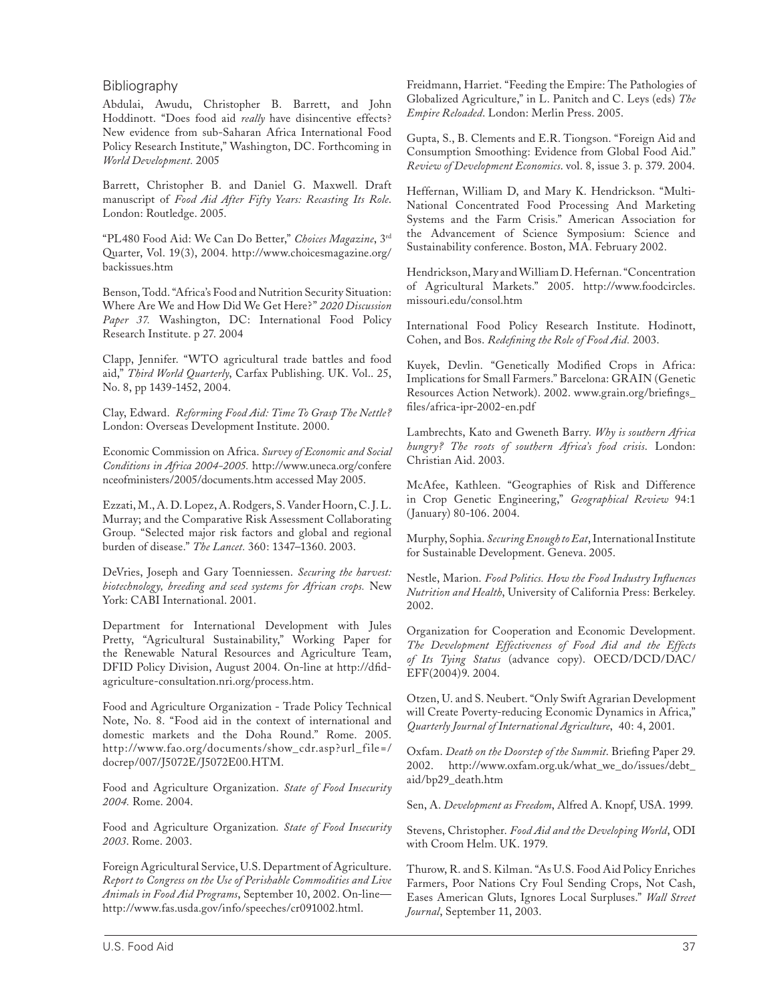#### Bibliography

Abdulai, Awudu, Christopher B. Barrett, and John Hoddinott. "Does food aid *really* have disincentive effects? New evidence from sub-Saharan Africa International Food Policy Research Institute," Washington, DC. Forthcoming in *World Development.* 2005

Barrett, Christopher B. and Daniel G. Maxwell. Draft manuscript of *Food Aid After Fifty Years: Recasting Its Role*. London: Routledge. 2005.

"PL480 Food Aid: We Can Do Better," *Choices Magazine*, 3rd Quarter, Vol. 19(3), 2004. http://www.choicesmagazine.org/ backissues.htm

Benson, Todd. "Africa's Food and Nutrition Security Situation: Where Are We and How Did We Get Here?" *2020 Discussion*  Paper 37. Washington, DC: International Food Policy Research Institute. p 27. 2004

Clapp, Jennifer. "WTO agricultural trade battles and food aid," *Third World Quarterly*, Carfax Publishing. UK. Vol.. 25, No. 8, pp 1439-1452, 2004.

Clay, Edward. *Reforming Food Aid: Time To Grasp The Nettle?*  London: Overseas Development Institute. 2000.

Economic Commission on Africa. *Survey of Economic and Social Conditions in Africa 2004-2005.* http://www.uneca.org/confere nceofministers/2005/documents.htm accessed May 2005.

Ezzati, M., A. D. Lopez, A. Rodgers, S. Vander Hoorn, C. J. L. Murray; and the Comparative Risk Assessment Collaborating Group. "Selected major risk factors and global and regional burden of disease." *The Lancet.* 360: 1347–1360. 2003.

DeVries, Joseph and Gary Toenniessen. *Securing the harvest: biotechnology, breeding and seed systems for African crops.* New York: CABI International. 2001.

Department for International Development with Jules Pretty, "Agricultural Sustainability," Working Paper for the Renewable Natural Resources and Agriculture Team, DFID Policy Division, August 2004. On-line at http://dfidagriculture-consultation.nri.org/process.htm.

Food and Agriculture Organization - Trade Policy Technical Note, No. 8. "Food aid in the context of international and domestic markets and the Doha Round." Rome. 2005. http://www.fao.org/documents/show\_cdr.asp?url\_file=/ docrep/007/J5072E/J5072E00.HTM.

Food and Agriculture Organization. *State of Food Insecurity 2004.* Rome. 2004.

Food and Agriculture Organization*. State of Food Insecurity 2003*. Rome. 2003.

Foreign Agricultural Service, U.S. Department of Agriculture. *Report to Congress on the Use of Perishable Commodities and Live Animals in Food Aid Programs*, September 10, 2002. On-line http://www.fas.usda.gov/info/speeches/cr091002.html.

Freidmann, Harriet. "Feeding the Empire: The Pathologies of Globalized Agriculture," in L. Panitch and C. Leys (eds) *The Empire Reloaded*. London: Merlin Press. 2005.

Gupta, S., B. Clements and E.R. Tiongson. "Foreign Aid and Consumption Smoothing: Evidence from Global Food Aid." *Review of Development Economics*. vol. 8, issue 3. p. 379. 2004.

Heffernan, William D, and Mary K. Hendrickson. "Multi-National Concentrated Food Processing And Marketing Systems and the Farm Crisis." American Association for the Advancement of Science Symposium: Science and Sustainability conference. Boston, MA. February 2002.

Hendrickson, Mary and William D. Hefernan. "Concentration of Agricultural Markets." 2005. http://www.foodcircles. missouri.edu/consol.htm

International Food Policy Research Institute. Hodinott, Cohen, and Bos. *Redefining the Role of Food Aid.* 2003.

Kuyek, Devlin. "Genetically Modified Crops in Africa: Implications for Small Farmers." Barcelona: GRAIN (Genetic Resources Action Network). 2002. www.grain.org/briefings\_ files/africa-ipr-2002-en.pdf

Lambrechts, Kato and Gweneth Barry. *Why is southern Africa hungry? The roots of southern Africa's food crisis*. London: Christian Aid. 2003.

McAfee, Kathleen. "Geographies of Risk and Difference in Crop Genetic Engineering," *Geographical Review* 94:1 (January) 80-106. 2004.

Murphy, Sophia. *Securing Enough to Eat*, International Institute for Sustainable Development. Geneva. 2005.

Nestle, Marion. *Food Politics. How the Food Industry Influences Nutrition and Health*, University of California Press: Berkeley. 2002.

Organization for Cooperation and Economic Development. *The Development Effectiveness of Food Aid and the Effects of Its Tying Status* (advance copy). OECD/DCD/DAC/ EFF(2004)9. 2004.

Otzen, U. and S. Neubert. "Only Swift Agrarian Development will Create Poverty-reducing Economic Dynamics in Africa," *Quarterly Journal of International Agriculture*, 40: 4, 2001.

Oxfam. *Death on the Doorstep of the Summit*. Briefing Paper 29. 2002. http://www.oxfam.org.uk/what\_we\_do/issues/debt\_ aid/bp29\_death.htm

Sen, A. *Development as Freedom*, Alfred A. Knopf, USA. 1999.

Stevens, Christopher. *Food Aid and the Developing World*, ODI with Croom Helm. UK. 1979.

Thurow, R. and S. Kilman. "As U.S. Food Aid Policy Enriches Farmers, Poor Nations Cry Foul Sending Crops, Not Cash, Eases American Gluts, Ignores Local Surpluses." *Wall Street Journal*, September 11, 2003.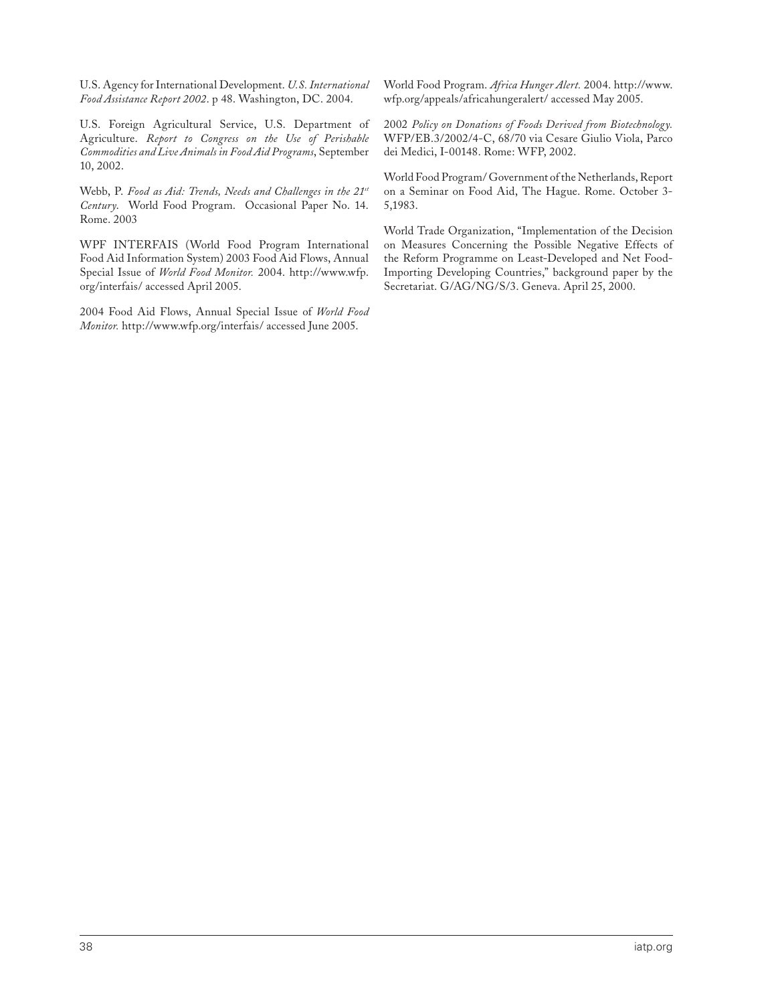U.S. Agency for International Development. *U.S. International Food Assistance Report 2002*. p 48. Washington, DC. 2004.

U.S. Foreign Agricultural Service, U.S. Department of Agriculture. *Report to Congress on the Use of Perishable Commodities and Live Animals in Food Aid Programs*, September 10, 2002.

Webb, P. *Food as Aid: Trends, Needs and Challenges in the 21st Century*. World Food Program. Occasional Paper No. 14. Rome. 2003

WPF INTERFAIS (World Food Program International Food Aid Information System) 2003 Food Aid Flows, Annual Special Issue of *World Food Monitor.* 2004. http://www.wfp. org/interfais/ accessed April 2005.

2004 Food Aid Flows, Annual Special Issue of *World Food Monitor.* http://www.wfp.org/interfais/ accessed June 2005.

World Food Program. *Africa Hunger Alert.* 2004. http://www. wfp.org/appeals/africahungeralert/ accessed May 2005.

2002 *Policy on Donations of Foods Derived from Biotechnology.* WFP/EB.3/2002/4-C, 68/70 via Cesare Giulio Viola, Parco dei Medici, I-00148. Rome: WFP, 2002.

World Food Program/ Government of the Netherlands, Report on a Seminar on Food Aid, The Hague. Rome. October 3- 5,1983.

World Trade Organization, "Implementation of the Decision on Measures Concerning the Possible Negative Effects of the Reform Programme on Least-Developed and Net Food-Importing Developing Countries," background paper by the Secretariat. G/AG/NG/S/3. Geneva. April 25, 2000.